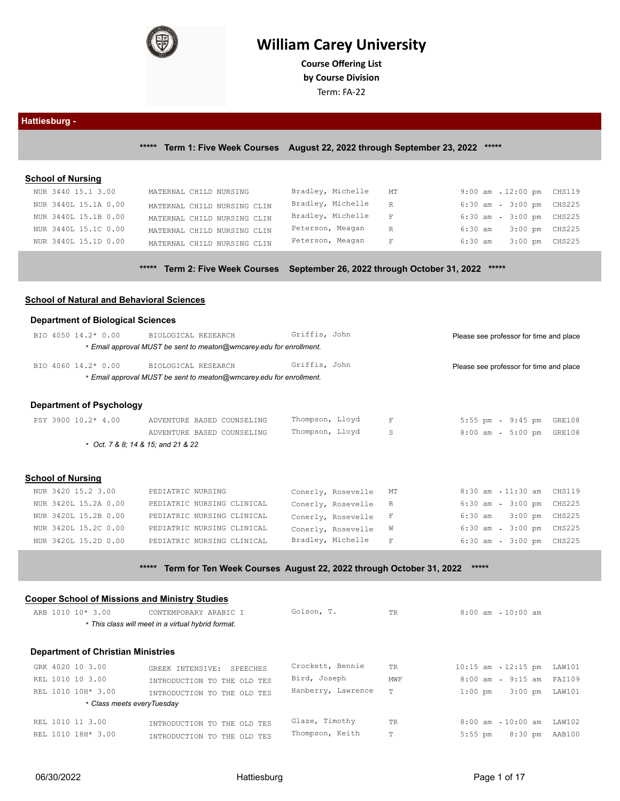

# **William Carey University**

**Course Ofering List**

**by Course Division**

Term: FA-22

## **Hattiesburg -**

**\*\*\*\*\* Term 1: Five Week Courses August 22, 2022 through September 23, 2022 \*\*\*\*\***

## **School of Nursing**

| NUR 3440 15.1 3.00   | MATERNAL CHILD NURSING      | Bradley, Michelle MT |                               | 9:00 am 12:00 pm CHS119      |                |  |
|----------------------|-----------------------------|----------------------|-------------------------------|------------------------------|----------------|--|
| NUR 3440L 15.1A 0.00 | MATERNAL CHILD NURSING CLIN | Bradley, Michelle R  |                               | 6:30 am - 3:00 pm CHS225     |                |  |
| NUR 3440L 15.1B 0.00 | MATERNAL CHILD NURSING CLIN | Bradley, Michelle F  |                               | 6:30 am                      | 3:00 pm CHS225 |  |
| NUR 3440L 15.1C 0.00 | MATERNAL CHILD NURSING CLIN | Peterson, Meagan     | R                             | 6:30 am                      | 3:00 pm CHS225 |  |
| NUR 3440L 15.1D 0.00 | MATERNAL CHILD NURSING CLIN | Peterson, Meagan     | $\mathbf{F}$ and $\mathbf{F}$ | $6:30$ am - $3:00$ pm CHS225 |                |  |
|                      |                             |                      |                               |                              |                |  |

**\*\*\*\*\* Term 2: Five Week Courses September 26, 2022 through October 31, 2022 \*\*\*\*\***

## **School of Natural and Behavioral Sciences**

#### **Department of Biological Sciences**

| BIO 4050 14.2* 0.00 | BIOLOGICAL RESEARCH                                                 | Griffis, John | Please see professor for time and place |
|---------------------|---------------------------------------------------------------------|---------------|-----------------------------------------|
|                     | * Email approval MUST be sent to meaton@wmcarey.edu for enrollment. |               |                                         |
| BIO 4060 14.2* 0.00 | BIOLOGICAL RESEARCH                                                 | Griffis, John | Please see professor for time and place |
|                     | * Email approval MUST be sent to meaton@wmcarey.edu for enrollment. |               |                                         |
|                     |                                                                     |               |                                         |
|                     |                                                                     |               |                                         |

#### **Department of Psychology**

| PSY 3900 10.2* 4.00       | ADVENTURE BASED COUNSELING           | Thompson, Lloyd    |    | $5:55$ pm<br>9:45 pm        | GRE108 |
|---------------------------|--------------------------------------|--------------------|----|-----------------------------|--------|
|                           | ADVENTURE BASED COUNSELING           | Thompson, Lloyd    | S  | $8:00$ am<br>$5:00$ pm      | GRE108 |
|                           | $*$ Oct. 7 & 8; 14 & 15; and 21 & 22 |                    |    |                             |        |
|                           |                                      |                    |    |                             |        |
| Scho <u>ol of Nursing</u> |                                      |                    |    |                             |        |
|                           |                                      |                    |    |                             |        |
| NUR 3420 15.2 3.00        | PEDIATRIC NURSING                    | Conerly, Rosevelle | MT | 8:30 am - 11:30 am CHS119   |        |
| NUR 3420L 15.2A 0.00      | PEDIATRIC NURSING CLINICAL           | Conerly, Rosevelle | R  | 6:30 am - 3:00 pm CHS225    |        |
| NUR 3420L 15.2B 0.00      | PEDIATRIC NURSING CLINICAL           | Conerly, Rosevelle |    | $6:30$ am<br>3:00 pm CHS225 |        |
|                           |                                      |                    |    |                             |        |

NUR 3420L 15.2C 0.00 PEDIATRIC NURSING CLINICAL Conerly, Rosevelle W 6:30 am - 3:00 pm CHS225 NUR 3420L 15.2D 0.00 PEDIATRIC NURSING CLINICAL Bradley, Michelle F 6:30 am - 3:00 pm CHS225

## **\*\*\*\*\* Term for Ten Week Courses August 22, 2022 through October 31, 2022 \*\*\*\*\***

| <b>Cooper School of Missions and Ministry Studies</b> |                                                    |                    |           |               |            |        |
|-------------------------------------------------------|----------------------------------------------------|--------------------|-----------|---------------|------------|--------|
| ARB 1010 10* 3.00                                     | CONTEMPORARY ARABIC I                              | Golson, T.         | <b>TR</b> | $8:00$ am     | $10:00$ am |        |
|                                                       | * This class will meet in a virtual hybrid format. |                    |           |               |            |        |
| <b>Department of Christian Ministries</b>             |                                                    |                    |           |               |            |        |
| GRK 4020 10 3.00                                      | GREEK INTENSIVE:<br>SPEECHES                       | Crockett, Bennie   | <b>TR</b> | $10:15$ am    | $12:15$ pm | LAW101 |
| REL 1010 10 3.00                                      | INTRODUCTION TO THE OLD TES                        | Bird, Joseph       | MWF       | $8:00$ am $-$ | $9:15$ am  | FAI109 |
| REL 1010 10H* 3.00                                    | INTRODUCTION TO THE OLD TES                        | Hanberry, Lawrence | T         | $1:00$ pm     | $3:00$ pm  | LAW101 |
| * Class meets every Tuesday                           |                                                    |                    |           |               |            |        |
| REL 1010 11 3.00                                      | INTRODUCTION TO THE OLD TES                        | Glaze, Timothy     | TR        | $8:00$ am     | $10:00$ am | LAW102 |
| REL 1010 18H* 3.00                                    | INTRODUCTION TO THE OLD TES                        | Thompson, Keith    | T         | $5:55$ pm     | $8:30$ pm  | AAB100 |
|                                                       |                                                    |                    |           |               |            |        |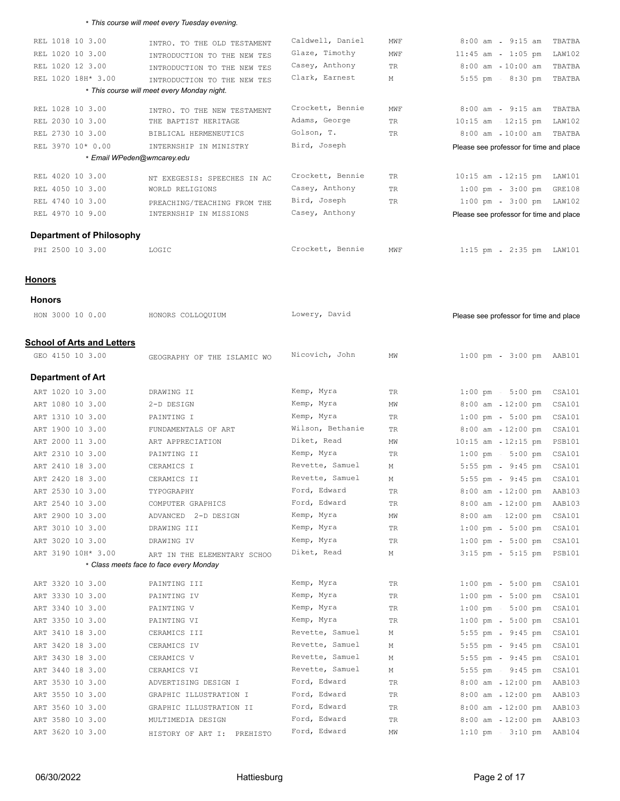#### \* *This course will meet every Tuesday evening.*

| REL 1018 10 3.00                  | INTRO. TO THE OLD TESTAMENT                 | Caldwell, Daniel | MWF | $8:00$ am - $9:15$ am<br>TBATBA                 |
|-----------------------------------|---------------------------------------------|------------------|-----|-------------------------------------------------|
| REL 1020 10 3.00                  | INTRODUCTION TO THE NEW TES                 | Glaze, Timothy   | MWF | $11:45$ am - $1:05$ pm<br>LAW102                |
| REL 1020 12 3.00                  | INTRODUCTION TO THE NEW TES                 | Casey, Anthony   | TR  | $10:00$ am<br>$8:00$ am<br>TBATBA               |
| REL 1020 18H* 3.00                | INTRODUCTION TO THE NEW TES                 | Clark, Earnest   | Μ   | 5:55 pm - 8:30 pm<br>TBATBA                     |
|                                   | * This course will meet every Monday night. |                  |     |                                                 |
| REL 1028 10 3.00                  | INTRO. TO THE NEW TESTAMENT                 | Crockett, Bennie | MWF | $8:00$ am<br>$9:15$ am<br>TBATBA                |
| REL 2030 10 3.00                  | THE BAPTIST HERITAGE                        | Adams, George    | TR  | $10:15$ am $-12:15$ pm<br>LAW102                |
| REL 2730 10 3.00                  | BIBLICAL HERMENEUTICS                       | Golson, T.       | TR  | $8:00$ am<br>$10:00$ am<br>TBATBA               |
| REL 3970 10* 0.00                 | INTERNSHIP IN MINISTRY                      | Bird, Joseph     |     | Please see professor for time and place         |
|                                   | * Email WPeden@wmcarey.edu                  |                  |     |                                                 |
| REL 4020 10 3.00                  | NT EXEGESIS: SPEECHES IN AC                 | Crockett, Bennie | TR  | $10:15$ am $12:15$ pm<br>LAW101                 |
| REL 4050 10 3.00                  | WORLD RELIGIONS                             | Casey, Anthony   | TR  | $1:00 \text{ pm } - 3:00 \text{ pm }$<br>GRE108 |
| REL 4740 10 3.00                  | PREACHING/TEACHING FROM THE                 | Bird, Joseph     | TR  | $1:00 \text{ pm} - 3:00 \text{ pm}$ LAW102      |
| REL 4970 10 9.00                  | INTERNSHIP IN MISSIONS                      | Casey, Anthony   |     | Please see professor for time and place         |
|                                   |                                             |                  |     |                                                 |
| <b>Department of Philosophy</b>   |                                             |                  |     |                                                 |
| PHI 2500 10 3.00                  | LOGIC                                       | Crockett, Bennie | MWF | $1:15$ pm<br>2:35 pm LAW101                     |
|                                   |                                             |                  |     |                                                 |
| <b>Honors</b>                     |                                             |                  |     |                                                 |
| <b>Honors</b>                     |                                             |                  |     |                                                 |
| HON 3000 10 0.00                  | HONORS COLLOQUIUM                           | Lowery, David    |     |                                                 |
|                                   |                                             |                  |     | Please see professor for time and place         |
| <b>School of Arts and Letters</b> |                                             |                  |     |                                                 |
| GEO 4150 10 3.00                  |                                             | Nicovich, John   | ΜW  | $1:00$ pm<br>3:00 pm AAB101                     |
|                                   | GEOGRAPHY OF THE ISLAMIC WO                 |                  |     |                                                 |
| <b>Department of Art</b>          |                                             |                  |     |                                                 |
| ART 1020 10 3.00                  | DRAWING II                                  | Kemp, Myra       | TR  | $1:00 \text{ pm } - 5:00 \text{ pm}$<br>CSA101  |
| ART 1080 10 3.00                  | 2-D DESIGN                                  | Kemp, Myra       | ΜW  | $8:00$ am $12:00$ pm<br>CSA101                  |
| ART 1310 10 3.00                  | PAINTING I                                  | Kemp, Myra       | TR  | $1:00 \text{ pm } - 5:00 \text{ pm }$<br>CSA101 |
| ART 1900 10 3.00                  | FUNDAMENTALS OF ART                         | Wilson, Bethanie | TR  | $8:00$ am $-12:00$ pm<br>CSA101                 |
| ART 2000 11 3.00                  | ART APPRECIATION                            | Diket, Read      | ΜW  | $10:15$ am<br>$12:15$ pm<br><b>PSB101</b>       |
| ART 2310 10 3.00                  | PAINTING II                                 | Kemp, Myra       | TR  | $1:00 \text{ pm } - 5:00 \text{ pm }$<br>CSA101 |
| ART 2410 18 3.00                  | CERAMICS I                                  | Revette, Samuel  | М   | 5:55 pm - 9:45 pm<br>CSA101                     |
| ART 2420 18 3.00                  | CERAMICS II                                 | Revette, Samuel  | М   | $9:45$ pm<br>$5:55$ pm<br>CSA101                |
| ART 2530 10 3.00                  | TYPOGRAPHY                                  | Ford, Edward     | TR  | $8:00$ am $-12:00$ pm<br>AAB103                 |
| ART 2540 10 3.00                  | COMPUTER GRAPHICS                           | Ford, Edward     | TR  | $8:00$ am $-12:00$ pm<br>AAB103                 |
| ART 2900 10 3.00                  | ADVANCED 2-D DESIGN                         | Kemp, Myra       | MW  | 8:00 am 12:00 pm<br>CSA101                      |
| ART 3010 10 3.00                  | DRAWING III                                 | Kemp, Myra       | TR  | $1:00 \text{ pm } - 5:00 \text{ pm }$<br>CSA101 |
| ART 3020 10 3.00                  | DRAWING IV                                  | Kemp, Myra       | TR  | $1:00 \text{ pm } - 5:00 \text{ pm }$<br>CSA101 |
| ART 3190 10H* 3.00                | ART IN THE ELEMENTARY SCHOO                 | Diket, Read      | Μ   | $3:15$ pm<br>$5:15$ pm<br><b>PSB101</b>         |
|                                   | * Class meets face to face every Monday     |                  |     |                                                 |
| ART 3320 10 3.00                  | PAINTING III                                | Kemp, Myra       | TR  | $1:00$ pm<br>$5:00 \text{ pm}$<br>CSA101        |
| ART 3330 10 3.00                  | PAINTING IV                                 | Kemp, Myra       | TR  | $1:00$ pm<br>$5:00 \text{ pm}$<br>CSA101        |
| ART 3340 10 3.00                  | PAINTING V                                  | Kemp, Myra       | TR  | $1:00 \text{ pm } - 5:00 \text{ pm }$<br>CSA101 |
| ART 3350 10 3.00                  | PAINTING VI                                 | Kemp, Myra       | TR  | $1:00$ pm<br>$5:00$ pm<br>CSA101                |
| ART 3410 18 3.00                  | CERAMICS III                                | Revette, Samuel  | Μ   | $9:45$ pm<br>CSA101<br>$5:55$ pm                |
| ART 3420 18 3.00                  | CERAMICS IV                                 | Revette, Samuel  | М   | 5:55 pm - 9:45 pm<br>CSA101                     |
| ART 3430 18 3.00                  | CERAMICS V                                  | Revette, Samuel  | М   | $9:45$ pm<br>$5:55$ pm<br>CSA101                |
| ART 3440 18 3.00                  | CERAMICS VI                                 | Revette, Samuel  | М   | $5:55$ pm<br>$9:45$ pm<br>CSA101                |
| ART 3530 10 3.00                  | ADVERTISING DESIGN I                        | Ford, Edward     | TR  | $8:00$ am $-12:00$ pm<br>AAB103                 |
| ART 3550 10 3.00                  | GRAPHIC ILLUSTRATION I                      | Ford, Edward     | TR  | $12:00$ pm<br>$8:00$ am<br>AAB103               |
| ART 3560 10 3.00                  | GRAPHIC ILLUSTRATION II                     | Ford, Edward     | TR  | $12:00$ pm<br>$8:00$ am<br>AAB103               |
| ART 3580 10 3.00                  | MULTIMEDIA DESIGN                           | Ford, Edward     | TR  | 8:00 am - 12:00 pm AAB103                       |

ART 3620 10 3.00 HISTORY OF ART I: PREHISTO Ford, Edward MW MW 1:10 pm 3:10 pm AAB104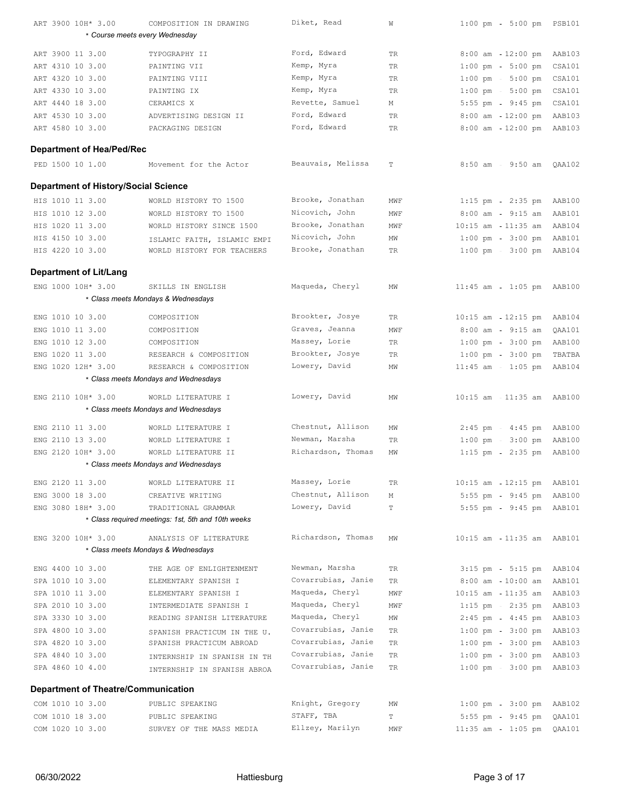| ART 3900 10H* 3.00                                  | COMPOSITION IN DRAWING                                      | Diket, Read        | W           | $1:00$ pm<br>5:00 pm  PSB101          |        |
|-----------------------------------------------------|-------------------------------------------------------------|--------------------|-------------|---------------------------------------|--------|
|                                                     | * Course meets every Wednesday                              |                    |             |                                       |        |
| ART 3900 11 3.00                                    | TYPOGRAPHY II                                               | Ford, Edward       | TR          | $8:00$ am $-12:00$ pm                 | AAB103 |
| ART 4310 10 3.00                                    | PAINTING VII                                                | Kemp, Myra         | TR          | $1:00$ pm<br>$5:00$ pm                | CSA101 |
| ART 4320 10 3.00                                    | PAINTING VIII                                               | Kemp, Myra         | TR          | $1:00 \text{ pm } - 5:00 \text{ pm }$ | CSA101 |
| ART 4330 10 3.00                                    | PAINTING IX                                                 | Kemp, Myra         | TR          | $1:00 \text{ pm } -5:00 \text{ pm }$  | CSA101 |
| ART 4440 18 3.00                                    | CERAMICS X                                                  | Revette, Samuel    | М           | $5:55$ pm<br>$9:45$ pm                | CSA101 |
| ART 4530 10 3.00                                    | ADVERTISING DESIGN II                                       | Ford, Edward       | TR          | $8:00$ am $-12:00$ pm                 | AAB103 |
| ART 4580 10 3.00                                    | PACKAGING DESIGN                                            | Ford, Edward       | TR          | 8:00 am - 12:00 pm AAB103             |        |
|                                                     |                                                             |                    |             |                                       |        |
| <b>Department of Hea/Ped/Rec</b>                    |                                                             |                    |             |                                       |        |
| PED 1500 10 1.00                                    | Movement for the Actor                                      | Beauvais, Melissa  | $\mathbb T$ | $8:50$ am - $9:50$ am                 | QAA102 |
| <b>Department of History/Social Science</b>         |                                                             |                    |             |                                       |        |
| HIS 1010 11 3.00                                    | WORLD HISTORY TO 1500                                       | Brooke, Jonathan   | MWF         | $1:15$ pm - $2:35$ pm                 | AAB100 |
| HIS 1010 12 3.00                                    | WORLD HISTORY TO 1500                                       | Nicovich, John     | MWF         | $8:00$ am - $9:15$ am                 | AAB101 |
| HIS 1020 11 3.00                                    | WORLD HISTORY SINCE 1500                                    | Brooke, Jonathan   | MWF         | 10:15 am  11:35 am                    | AAB104 |
| HIS 4150 10 3.00                                    | ISLAMIC FAITH, ISLAMIC EMPI                                 | Nicovich, John     | ΜW          | $1:00 \text{ pm } - 3:00 \text{ pm }$ | AAB101 |
| HIS 4220 10 3.00                                    | WORLD HISTORY FOR TEACHERS                                  | Brooke, Jonathan   | TR          | $1:00 \text{ pm } - 3:00 \text{ pm }$ | AAB104 |
|                                                     |                                                             |                    |             |                                       |        |
| <b>Department of Lit/Lang</b><br>ENG 1000 10H* 3.00 | SKILLS IN ENGLISH                                           | Maqueda, Cheryl    |             |                                       |        |
|                                                     |                                                             |                    | MW          | $11:45$ am - $1:05$ pm AAB100         |        |
|                                                     | * Class meets Mondays & Wednesdays                          |                    |             |                                       |        |
| ENG 1010 10 3.00                                    | COMPOSITION                                                 | Brookter, Josye    | TR          | $10:15$ am $-12:15$ pm                | AAB104 |
| ENG 1010 11 3.00                                    | COMPOSITION                                                 | Graves, Jeanna     | MWF         | $9:15$ am<br>$8:00$ am                | QAA101 |
| ENG 1010 12 3.00                                    | COMPOSITION                                                 | Massey, Lorie      | TR          | $3:00$ pm<br>$1:00$ pm                | AAB100 |
| ENG 1020 11 3.00                                    | RESEARCH & COMPOSITION                                      | Brookter, Josye    | TR          | $1:00 \text{ pm } - 3:00 \text{ pm }$ | TBATBA |
| ENG 1020 12H* 3.00                                  | RESEARCH & COMPOSITION                                      | Lowery, David      | ΜW          | $11:45$ am<br>$1:05$ pm               | AAB104 |
|                                                     | * Class meets Mondays and Wednesdays                        |                    |             |                                       |        |
| ENG 2110 10H* 3.00                                  | WORLD LITERATURE I                                          | Lowery, David      | MW          | 10:15 am - 11:35 am AAB100            |        |
|                                                     | * Class meets Mondays and Wednesdays                        |                    |             |                                       |        |
|                                                     |                                                             | Chestnut, Allison  |             |                                       |        |
| ENG 2110 11 3.00                                    | WORLD LITERATURE I                                          | Newman, Marsha     | ΜW          | $2:45$ pm - $4:45$ pm                 | AAB100 |
| ENG 2110 13 3.00<br>ENG 2120 10H* 3.00              | WORLD LITERATURE I                                          | Richardson, Thomas | TR          | $1:00$ pm<br>$3:00$ pm                | AAB100 |
|                                                     | WORLD LITERATURE II<br>* Class meets Mondays and Wednesdays |                    | ΜW          | $2:35$ pm<br>$1:15$ pm                | AAB100 |
|                                                     |                                                             |                    |             |                                       |        |
| ENG 2120 11 3.00                                    | WORLD LITERATURE II                                         | Massey, Lorie      | TR          | 10:15 am  12:15 pm                    | AAB101 |
| ENG 3000 18 3.00                                    | CREATIVE WRITING                                            | Chestnut, Allison  | М           | 5:55 pm - 9:45 pm                     | AAB100 |
| ENG 3080 18H* 3.00                                  | TRADITIONAL GRAMMAR                                         | Lowery, David      | T           | 5:55 pm - 9:45 pm AAB101              |        |
|                                                     | * Class required meetings: 1st, 5th and 10th weeks          |                    |             |                                       |        |
| ENG 3200 10H* 3.00                                  | ANALYSIS OF LITERATURE                                      | Richardson, Thomas | MW          | 10:15 am - 11:35 am AAB101            |        |
|                                                     | * Class meets Mondays & Wednesdays                          |                    |             |                                       |        |
| ENG 4400 10 3.00                                    | THE AGE OF ENLIGHTENMENT                                    | Newman, Marsha     | TR.         | $3:15$ pm - $5:15$ pm                 | AAB104 |
| SPA 1010 10 3.00                                    | ELEMENTARY SPANISH I                                        | Covarrubias, Janie | TR          | $10:00$ am<br>$8:00$ am               | AAB101 |
| SPA 1010 11 3.00                                    | ELEMENTARY SPANISH I                                        | Maqueda, Cheryl    | MWF         | $11:35$ am<br>$10:15$ am              | AAB103 |
| SPA 2010 10 3.00                                    | INTERMEDIATE SPANISH I                                      | Maqueda, Cheryl    | MWF         | $1:15$ pm - $2:35$ pm                 | AAB103 |
| SPA 3330 10 3.00                                    | READING SPANISH LITERATURE                                  | Maqueda, Cheryl    | ΜW          | $4:45$ pm<br>$2:45$ pm                | AAB103 |
| SPA 4800 10 3.00                                    | SPANISH PRACTICUM IN THE U.                                 | Covarrubias, Janie | TR          | $1:00$ pm<br>$3:00$ pm                | AAB103 |
| SPA 4820 10 3.00                                    | SPANISH PRACTICUM ABROAD                                    | Covarrubias, Janie | TR          | $1:00 \text{ pm } - 3:00 \text{ pm }$ | AAB103 |
| SPA 4840 10 3.00                                    | INTERNSHIP IN SPANISH IN TH                                 | Covarrubias, Janie | TR          | $3:00$ pm<br>$1:00$ pm                | AAB103 |
| SPA 4860 10 4.00                                    | INTERNSHIP IN SPANISH ABROA                                 | Covarrubias, Janie | TR          | $3:00$ pm<br>$1:00$ pm                | AAB103 |
| <b>Department of Theatre/Communication</b>          |                                                             |                    |             |                                       |        |
|                                                     |                                                             | Knight, Gregory    |             |                                       |        |
| COM 1010 10 3.00                                    | PUBLIC SPEAKING                                             |                    | ΜW          | $3:00$ pm<br>$1:00$ pm                | AAB102 |
| COM 1010 18 3.00                                    | PUBLIC SPEAKING                                             | STAFF, TBA         | T           | 5:55 pm - 9:45 pm                     | QAA101 |
| COM 1020 10 3.00                                    | SURVEY OF THE MASS MEDIA                                    | Ellzey, Marilyn    | MWF         | $11:35$ am - $1:05$ pm                | QAA101 |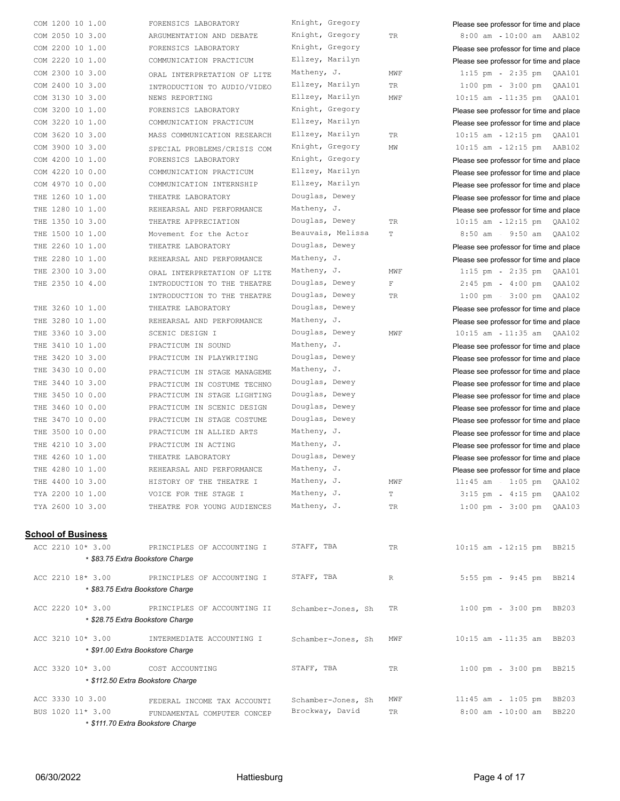| COM 1200 10 1.00          | FORENSICS LABORATORY                                           | Knight, Gregory    |             | Please see professor for time and place         |
|---------------------------|----------------------------------------------------------------|--------------------|-------------|-------------------------------------------------|
| COM 2050 10 3.00          | ARGUMENTATION AND DEBATE                                       | Knight, Gregory    | TR          | 8:00 am 10:00 am AAB102                         |
| COM 2200 10 1.00          | FORENSICS LABORATORY                                           | Knight, Gregory    |             | Please see professor for time and place         |
| COM 2220 10 1.00          | COMMUNICATION PRACTICUM                                        | Ellzey, Marilyn    |             | Please see professor for time and place         |
| COM 2300 10 3.00          | ORAL INTERPRETATION OF LITE                                    | Matheny, J.        | MWF         | $1:15$ pm<br>2:35 pm QAA101                     |
| COM 2400 10 3.00          | INTRODUCTION TO AUDIO/VIDEO                                    | Ellzey, Marilyn    | TR.         | $1:00 \text{ pm } - 3:00 \text{ pm }$<br>QAA101 |
| COM 3130 10 3.00          | NEWS REPORTING                                                 | Ellzey, Marilyn    | MWF         | 10:15 am 11:35 pm QAA101                        |
| COM 3200 10 1.00          | FORENSICS LABORATORY                                           | Knight, Gregory    |             | Please see professor for time and place         |
| COM 3220 10 1.00          | COMMUNICATION PRACTICUM                                        | Ellzey, Marilyn    |             | Please see professor for time and place         |
| COM 3620 10 3.00          | MASS COMMUNICATION RESEARCH                                    | Ellzey, Marilyn    | TR          | 10:15 am 12:15 pm QAA101                        |
| COM 3900 10 3.00          |                                                                | Knight, Gregory    | ΜW          | $10:15$ am<br>12:15 pm AAB102                   |
| COM 4200 10 1.00          | SPECIAL PROBLEMS/CRISIS COM<br>FORENSICS LABORATORY            | Knight, Gregory    |             |                                                 |
|                           |                                                                | Ellzey, Marilyn    |             | Please see professor for time and place         |
| COM 4220 10 0.00          | COMMUNICATION PRACTICUM                                        | Ellzey, Marilyn    |             | Please see professor for time and place         |
| COM 4970 10 0.00          | COMMUNICATION INTERNSHIP                                       |                    |             | Please see professor for time and place         |
| THE 1260 10 1.00          | THEATRE LABORATORY                                             | Douglas, Dewey     |             | Please see professor for time and place         |
| THE 1280 10 1.00          | REHEARSAL AND PERFORMANCE                                      | Matheny, J.        |             | Please see professor for time and place         |
| THE 1350 10 3.00          | THEATRE APPRECIATION                                           | Douglas, Dewey     | TR          | 10:15 am 12:15 pm QAA102                        |
| THE 1500 10 1.00          | Movement for the Actor                                         | Beauvais, Melissa  | T           | 8:50 am - 9:50 am QAA102                        |
| THE 2260 10 1.00          | THEATRE LABORATORY                                             | Douglas, Dewey     |             | Please see professor for time and place         |
| THE 2280 10 1.00          | REHEARSAL AND PERFORMANCE                                      | Matheny, J.        |             | Please see professor for time and place         |
| THE 2300 10 3.00          | ORAL INTERPRETATION OF LITE                                    | Matheny, J.        | MWF         | 1:15 pm - 2:35 pm QAA101                        |
| THE 2350 10 4.00          | INTRODUCTION TO THE THEATRE                                    | Douglas, Dewey     | $\mathbb F$ | 4:00 pm  QAA102<br>$2:45$ pm                    |
|                           | INTRODUCTION TO THE THEATRE                                    | Douglas, Dewey     | TR          | 3:00 pm QAA102<br>$1:00$ pm                     |
| 3260 10 1.00<br>THE       | THEATRE LABORATORY                                             | Douglas, Dewey     |             | Please see professor for time and place         |
| THE 3280 10 1.00          | REHEARSAL AND PERFORMANCE                                      | Matheny, J.        |             | Please see professor for time and place         |
| THE 3360 10 3.00          | SCENIC DESIGN I                                                | Douglas, Dewey     | MWF         | 10:15 am 11:35 am QAA102                        |
| THE 3410 10 1.00          | PRACTICUM IN SOUND                                             | Matheny, J.        |             | Please see professor for time and place         |
| THE 3420 10 3.00          | PRACTICUM IN PLAYWRITING                                       | Douglas, Dewey     |             | Please see professor for time and place         |
| THE 3430 10 0.00          | PRACTICUM IN STAGE MANAGEME                                    | Matheny, J.        |             | Please see professor for time and place         |
| THE 3440 10 3.00          | PRACTICUM IN COSTUME TECHNO                                    | Douglas, Dewey     |             | Please see professor for time and place         |
| THE 3450 10 0.00          | PRACTICUM IN STAGE LIGHTING                                    | Douglas, Dewey     |             | Please see professor for time and place         |
| THE 3460 10 0.00          | PRACTICUM IN SCENIC DESIGN                                     | Douglas, Dewey     |             |                                                 |
| THE 3470 10 0.00          | PRACTICUM IN STAGE COSTUME                                     | Douglas, Dewey     |             | Please see professor for time and place         |
|                           |                                                                |                    |             | Please see professor for time and place         |
| THE 3500 10 0.00          | PRACTICUM IN ALLIED ARTS                                       | Matheny, J.        |             | Please see professor for time and place         |
| THE 4210 10 3.00          | PRACTICUM IN ACTING                                            | Matheny, J.        |             | Please see professor for time and place         |
| THE 4260 10 1.00          | THEATRE LABORATORY                                             | Douglas, Dewey     |             | Please see professor for time and place         |
| THE 4280 10 1.00          | REHEARSAL AND PERFORMANCE                                      | Matheny, J.        |             | Please see professor for time and place         |
| THE 4400 10 3.00          | HISTORY OF THE THEATRE I                                       | Matheny, J.        | MWF         | 11:45 am 1:05 pm QAA102                         |
| TYA 2200 10 1.00          | VOICE FOR THE STAGE I                                          | Matheny, J.        | T.          | $3:15$ pm - $4:15$ pm<br>QAA102                 |
| TYA 2600 10 3.00          | THEATRE FOR YOUNG AUDIENCES                                    | Matheny, J.        | TR.         | 1:00 pm 3:00 pm OAA103                          |
| <u>School of Business</u> |                                                                |                    |             |                                                 |
| ACC 2210 10* 3.00         | PRINCIPLES OF ACCOUNTING I<br>* \$83.75 Extra Bookstore Charge | STAFF, TBA         | TR          | 10:15 am - 12:15 pm BB215                       |
|                           |                                                                |                    |             |                                                 |
| ACC 2210 18* 3.00         | PRINCIPLES OF ACCOUNTING I<br>* \$83.75 Extra Bookstore Charge | STAFF, TBA         | $\mathbb R$ | 5:55 pm - 9:45 pm BB214                         |
| ACC 2220 10* 3.00         | PRINCIPLES OF ACCOUNTING II                                    | Schamber-Jones, Sh | TR          | $1:00$ pm<br>3:00 pm BB203                      |
|                           | * \$28.75 Extra Bookstore Charge                               |                    |             |                                                 |
| ACC 3210 10* 3.00         | INTERMEDIATE ACCOUNTING I<br>* \$91.00 Extra Bookstore Charge  | Schamber-Jones, Sh | MWF         | 10:15 am 11:35 am BB203                         |
| ACC 3320 10* 3.00         | COST ACCOUNTING                                                | STAFF, TBA         | TR          | $1:00$ pm<br>3:00 pm BB215                      |
|                           | * \$112.50 Extra Bookstore Charge                              |                    |             |                                                 |
| ACC 3330 10 3.00          | FEDERAL INCOME TAX ACCOUNTI                                    | Schamber-Jones, Sh | MWF         | 1:05 pm BB203<br>$11:45$ am                     |
| BUS 1020 11* 3.00         | FUNDAMENTAL COMPUTER CONCEP                                    | Brockway, David    | TR          | 10:00 am BB220<br>$8:00$ am                     |
|                           | * \$111.70 Extra Bookstore Charge                              |                    |             |                                                 |
|                           |                                                                |                    |             |                                                 |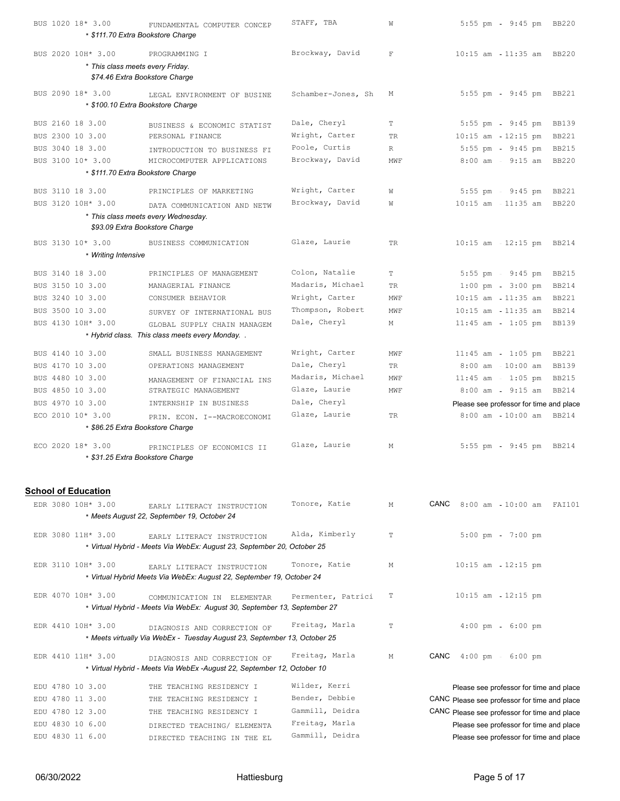|                  | BUS 1020 18* 3.00                                      | FUNDAMENTAL COMPUTER CONCEP<br>* \$111.70 Extra Bookstore Charge                                    | STAFF, TBA                        | W            | $5:55$ pm<br>9:45 pm BB220                            |  |
|------------------|--------------------------------------------------------|-----------------------------------------------------------------------------------------------------|-----------------------------------|--------------|-------------------------------------------------------|--|
|                  |                                                        |                                                                                                     |                                   |              |                                                       |  |
|                  | BUS 2020 10H* 3.00<br>* This class meets every Friday. | PROGRAMMING I                                                                                       | Brockway, David                   | $\mathbb F$  | 10:15 am - 11:35 am BB220                             |  |
|                  |                                                        | \$74.46 Extra Bookstore Charge                                                                      |                                   |              |                                                       |  |
|                  | BUS 2090 18* 3.00                                      | LEGAL ENVIRONMENT OF BUSINE                                                                         | Schamber-Jones, Sh                | Μ            | 5:55 pm - 9:45 pm BB221                               |  |
|                  |                                                        | * \$100.10 Extra Bookstore Charge                                                                   |                                   |              |                                                       |  |
| BUS 2160 18 3.00 |                                                        | BUSINESS & ECONOMIC STATIST                                                                         | Dale, Cheryl                      | T            | 5:55 pm - 9:45 pm<br><b>BB139</b>                     |  |
| BUS 2300 10 3.00 |                                                        | PERSONAL FINANCE                                                                                    | Wright, Carter                    | <b>TR</b>    | $10:15$ am $-12:15$ pm<br><b>BB221</b>                |  |
| BUS 3040 18 3.00 |                                                        | INTRODUCTION TO BUSINESS FI                                                                         | Poole, Curtis                     | $\mathbb{R}$ | $5:55$ pm<br>$9:45$ pm<br><b>BB215</b>                |  |
|                  | BUS 3100 10* 3.00                                      | MICROCOMPUTER APPLICATIONS                                                                          | Brockway, David                   | MWF          | $8:00$ am - $9:15$ am<br><b>BB220</b>                 |  |
|                  |                                                        | * \$111.70 Extra Bookstore Charge                                                                   |                                   |              |                                                       |  |
| BUS 3110 18 3.00 |                                                        | PRINCIPLES OF MARKETING                                                                             | Wright, Carter                    | W            | $5:55$ pm<br>$9:45$ pm<br><b>BB221</b>                |  |
|                  | BUS 3120 10H* 3.00                                     | DATA COMMUNICATION AND NETW                                                                         | Brockway, David                   | W            | $10:15$ am $-11:35$ am<br><b>BB220</b>                |  |
|                  |                                                        | * This class meets every Wednesday.                                                                 |                                   |              |                                                       |  |
|                  |                                                        | \$93.09 Extra Bookstore Charge                                                                      |                                   |              |                                                       |  |
|                  | BUS 3130 10* 3.00                                      | BUSINESS COMMUNICATION                                                                              | Glaze, Laurie                     | TR           | 10:15 am - 12:15 pm BB214                             |  |
|                  | * Writing Intensive                                    |                                                                                                     |                                   |              |                                                       |  |
| BUS 3140 18 3.00 |                                                        | PRINCIPLES OF MANAGEMENT                                                                            | Colon, Natalie                    | T            | $5:55$ pm - $9:45$ pm<br><b>BB215</b>                 |  |
| BUS 3150 10 3.00 |                                                        | MANAGERIAL FINANCE                                                                                  | Madaris, Michael                  | TR           | $1:00 \text{ pm } - 3:00 \text{ pm }$<br><b>BB214</b> |  |
| BUS 3240 10 3.00 |                                                        | CONSUMER BEHAVIOR                                                                                   | Wright, Carter                    | MWF          | 10:15 am  11:35 am<br><b>BB221</b>                    |  |
| BUS 3500 10 3.00 |                                                        | SURVEY OF INTERNATIONAL BUS                                                                         | Thompson, Robert                  | MWF          | $10:15$ am $-11:35$ am<br><b>BB214</b>                |  |
|                  | BUS 4130 10H* 3.00                                     | GLOBAL SUPPLY CHAIN MANAGEM                                                                         | Dale, Cheryl                      | М            | $11:45$ am - $1:05$ pm<br><b>BB139</b>                |  |
|                  |                                                        | * Hybrid class. This class meets every Monday                                                       |                                   |              |                                                       |  |
| BUS 4140 10 3.00 |                                                        | SMALL BUSINESS MANAGEMENT                                                                           | Wright, Carter                    | MWF          | $11:45$ am - $1:05$ pm<br><b>BB221</b>                |  |
| BUS 4170 10 3.00 |                                                        | OPERATIONS MANAGEMENT                                                                               | Dale, Cheryl                      | TR           | $8:00$ am<br>$10:00$ am<br><b>BB139</b>               |  |
| BUS 4480 10 3.00 |                                                        | MANAGEMENT OF FINANCIAL INS                                                                         | Madaris, Michael                  | MWF          | $11:45$ am<br>$1:05$ pm<br><b>BB215</b>               |  |
| BUS 4850 10 3.00 |                                                        | STRATEGIC MANAGEMENT                                                                                | Glaze, Laurie                     | MWF          | $8:00$ am - $9:15$ am<br><b>BB214</b>                 |  |
| BUS 4970 10 3.00 |                                                        | INTERNSHIP IN BUSINESS                                                                              | Dale, Cheryl                      |              | Please see professor for time and place               |  |
|                  | ECO 2010 10* 3.00                                      | PRIN. ECON. I--MACROECONOMI                                                                         | Glaze, Laurie                     | <b>TR</b>    | 8:00 am 10:00 am BB214                                |  |
|                  |                                                        | * \$86.25 Extra Bookstore Charge                                                                    |                                   |              |                                                       |  |
|                  | ECO 2020 18* 3.00                                      | PRINCIPLES OF ECONOMICS II                                                                          | Glaze, Laurie                     | М            | $5:55$ pm<br>9:45 pm BB214                            |  |
|                  |                                                        | * \$31.25 Extra Bookstore Charge                                                                    |                                   |              |                                                       |  |
|                  |                                                        |                                                                                                     |                                   |              |                                                       |  |
|                  | <b>School of Education</b>                             |                                                                                                     |                                   |              |                                                       |  |
|                  | EDR 3080 10H* 3.00                                     | EARLY LITERACY INSTRUCTION                                                                          | Tonore, Katie                     | М            | $CANC$ 8:00 am<br>10:00 am FAI101                     |  |
|                  |                                                        | * Meets August 22, September 19, October 24                                                         |                                   |              |                                                       |  |
|                  | EDR 3080 11H* 3.00                                     | EARLY LITERACY INSTRUCTION                                                                          | Alda, Kimberly                    | $\mathbb T$  | $5:00$ pm<br>$7:00$ pm                                |  |
|                  |                                                        | * Virtual Hybrid - Meets Via WebEx: August 23, September 20, October 25                             |                                   |              |                                                       |  |
|                  |                                                        |                                                                                                     | Tonore, Katie                     |              |                                                       |  |
|                  | EDR 3110 10H* 3.00                                     | EARLY LITERACY INSTRUCTION<br>* Virtual Hybrid Meets Via WebEx: August 22, September 19, October 24 |                                   | М            | $10:15$ am<br>$12:15$ pm                              |  |
|                  |                                                        |                                                                                                     |                                   |              |                                                       |  |
|                  | EDR 4070 10H* 3.00                                     | COMMUNICATION IN ELEMENTAR                                                                          | Permenter, Patrici                | Т            | $10:15$ am<br>12:15 pm                                |  |
|                  |                                                        | * Virtual Hybrid - Meets Via WebEx: August 30, September 13, September 27                           |                                   |              |                                                       |  |
|                  | EDR 4410 10H* 3.00                                     | DIAGNOSIS AND CORRECTION OF                                                                         | Freitag, Marla                    | T            | $4:00 \text{ pm } - 6:00 \text{ pm }$                 |  |
|                  |                                                        | * Meets virtually Via WebEx - Tuesday August 23, September 13, October 25                           |                                   |              |                                                       |  |
|                  | EDR 4410 11H* 3.00                                     | DIAGNOSIS AND CORRECTION OF                                                                         | Freitag, Marla                    | М            | CANC<br>$4:00 \text{ pm} - 6:00 \text{ pm}$           |  |
|                  |                                                        | * Virtual Hybrid - Meets Via WebEx -August 22, September 12, October 10                             |                                   |              |                                                       |  |
|                  |                                                        |                                                                                                     |                                   |              |                                                       |  |
| EDU 4780 10 3.00 |                                                        | THE TEACHING RESIDENCY I                                                                            | Wilder, Kerri                     |              | Please see professor for time and place               |  |
| EDU 4780 11 3.00 |                                                        | THE TEACHING RESIDENCY I                                                                            | Bender, Debbie                    |              | CANC Please see professor for time and place          |  |
| EDU 4780 12 3.00 |                                                        | THE TEACHING RESIDENCY I                                                                            | Gammill, Deidra                   |              | CANC Please see professor for time and place          |  |
| EDU 4830 10 6.00 |                                                        | DIRECTED TEACHING/ ELEMENTA                                                                         | Freitag, Marla<br>Gammill, Deidra |              | Please see professor for time and place               |  |
| EDU 4830 11 6.00 |                                                        | DIRECTED TEACHING IN THE EL                                                                         |                                   |              | Please see professor for time and place               |  |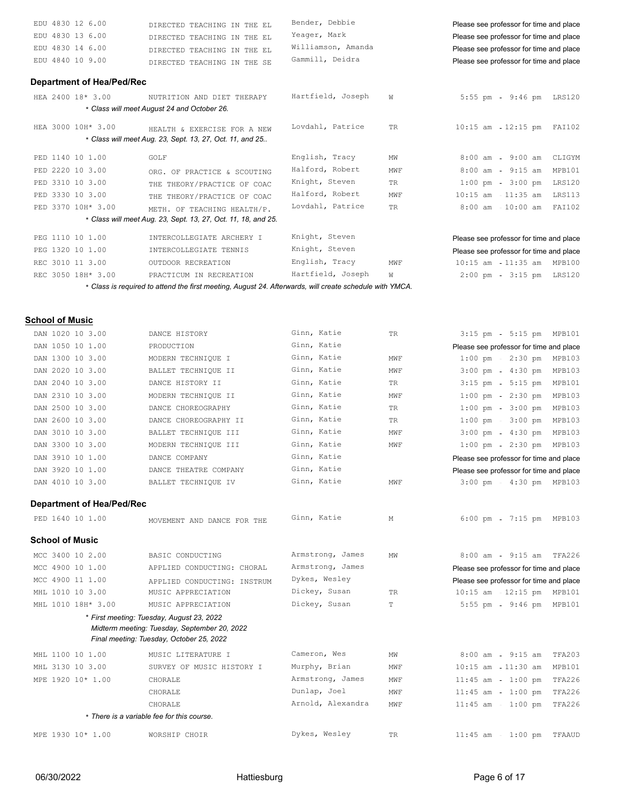| EDU 4830 12 6.00                 | DIRECTED TEACHING IN THE EL                                                                                                        | Bender, Debbie     |     | Please see professor for time and place         |
|----------------------------------|------------------------------------------------------------------------------------------------------------------------------------|--------------------|-----|-------------------------------------------------|
| EDU 4830 13 6.00                 | DIRECTED TEACHING IN THE EL                                                                                                        | Yeager, Mark       |     | Please see professor for time and place         |
| EDU 4830 14 6.00                 | DIRECTED TEACHING IN THE EL                                                                                                        | Williamson, Amanda |     | Please see professor for time and place         |
| EDU 4840 10 9.00                 | DIRECTED TEACHING IN THE SE                                                                                                        | Gammill, Deidra    |     | Please see professor for time and place         |
| <b>Department of Hea/Ped/Rec</b> |                                                                                                                                    |                    |     |                                                 |
| HEA 2400 18* 3.00                | NUTRITION AND DIET THERAPY                                                                                                         | Hartfield, Joseph  | W   | 5:55 pm - 9:46 pm LRS120                        |
|                                  | * Class will meet August 24 and October 26.                                                                                        |                    |     |                                                 |
| HEA 3000 10H* 3.00               | HEALTH & EXERCISE FOR A NEW                                                                                                        | Lovdahl, Patrice   | TR  | 10:15 am - 12:15 pm FAI102                      |
|                                  | * Class will meet Aug. 23, Sept. 13, 27, Oct. 11, and 25                                                                           |                    |     |                                                 |
| PED 1140 10 1.00                 | GOLF                                                                                                                               | English, Tracy     | ΜW  | $8:00$ am - $9:00$ am<br>CLIGYM                 |
| PED 2220 10 3.00                 | ORG. OF PRACTICE & SCOUTING                                                                                                        | Halford, Robert    | MWF | $8:00$ am - $9:15$ am<br>MPB101                 |
| PED 3310 10 3.00                 | THE THEORY/PRACTICE OF COAC                                                                                                        | Knight, Steven     | TR. | $1:00$ pm<br>$3:00$ pm<br>LRS120                |
| PED 3330 10 3.00                 | THE THEORY/PRACTICE OF COAC                                                                                                        | Halford, Robert    | MWF | $10:15$ am $-11:35$ am<br>LRS113                |
| PED 3370 10H* 3.00               | METH. OF TEACHING HEALTH/P.<br>* Class will meet Aug. 23, Sept. 13, 27, Oct. 11, 18, and 25.                                       | Lovdahl, Patrice   | TR  | $8:00$ am $-10:00$ am<br>FAI102                 |
|                                  |                                                                                                                                    | Knight, Steven     |     |                                                 |
| PEG 1110 10 1.00                 | INTERCOLLEGIATE ARCHERY I                                                                                                          |                    |     | Please see professor for time and place         |
| PEG 1320 10 1.00                 | INTERCOLLEGIATE TENNIS                                                                                                             | Knight, Steven     |     | Please see professor for time and place         |
| REC 3010 11 3.00                 | OUTDOOR RECREATION                                                                                                                 | English, Tracy     | MWF | 10:15 am  11:35 am  MPB100                      |
| REC 3050 18H* 3.00               | PRACTICUM IN RECREATION<br>* Class is required to attend the first meeting, August 24. Afterwards, will create schedule with YMCA. | Hartfield, Joseph  | W   | 2:00 pm - 3:15 pm LRS120                        |
|                                  |                                                                                                                                    |                    |     |                                                 |
| <u>School of Music</u>           |                                                                                                                                    |                    |     |                                                 |
| DAN 1020 10 3.00                 | DANCE HISTORY                                                                                                                      | Ginn, Katie        | TR  | 5:15 pm MPB101<br>$3:15$ pm                     |
| DAN 1050 10 1.00                 | PRODUCTION                                                                                                                         | Ginn, Katie        |     | Please see professor for time and place         |
| DAN 1300 10 3.00                 | MODERN TECHNIQUE I                                                                                                                 | Ginn, Katie        | MWF | $1:00 \text{ pm } - 2:30 \text{ pm }$<br>MPB103 |
| DAN 2020 10 3.00                 | BALLET TECHNIQUE II                                                                                                                | Ginn, Katie        | MWF | $4:30$ pm<br>$3:00$ pm<br>MPB103                |
| DAN 2040 10 3.00                 | DANCE HISTORY II                                                                                                                   | Ginn, Katie        | TR  | $5:15$ pm<br>MPB101<br>$3:15$ pm                |
| DAN 2310 10 3.00                 | MODERN TECHNIQUE II                                                                                                                | Ginn, Katie        | MWF | $1:00 \text{ pm } - 2:30 \text{ pm }$<br>MPB103 |
| DAN 2500 10 3.00                 | DANCE CHOREOGRAPHY                                                                                                                 | Ginn, Katie        | TR  | $3:00$ pm<br>MPB103<br>$1:00$ pm                |
| DAN 2600 10 3.00                 | DANCE CHOREOGRAPHY II                                                                                                              | Ginn, Katie        | TR  | $3:00$ pm<br>MPB103<br>$1:00$ pm                |
| DAN 3010 10 3.00                 | BALLET TECHNIQUE III                                                                                                               | Ginn, Katie        | MWF | $3:00$ pm - $4:30$ pm<br>MPB103                 |
| DAN 3300 10 3.00                 | MODERN TECHNIQUE III                                                                                                               | Ginn, Katie        | MWF | $1:00$ pm<br>2:30 pm MPB103                     |
| DAN 3910 10 1.00                 | DANCE COMPANY                                                                                                                      | Ginn, Katie        |     | Please see professor for time and place         |
| DAN 3920 10 1.00                 | DANCE THEATRE COMPANY                                                                                                              | Ginn, Katie        |     | Please see professor for time and place         |
| DAN 4010 10 3.00                 | BALLET TECHNIQUE IV                                                                                                                | Ginn, Katie        | MWF | $3:00$ pm<br>4:30 pm MPB103                     |
| <b>Department of Hea/Ped/Rec</b> |                                                                                                                                    |                    |     |                                                 |
| PED 1640 10 1.00                 | MOVEMENT AND DANCE FOR THE                                                                                                         | Ginn, Katie        | М   | 6:00 pm - 7:15 pm MPB103                        |
| <b>School of Music</b>           |                                                                                                                                    |                    |     |                                                 |
| MCC 3400 10 2.00                 | BASIC CONDUCTING                                                                                                                   | Armstrong, James   | ΜW  | 8:00 am - 9:15 am TFA226                        |
| MCC 4900 10 1.00                 | APPLIED CONDUCTING: CHORAL                                                                                                         | Armstrong, James   |     | Please see professor for time and place         |
| MCC 4900 11 1.00                 | APPLIED CONDUCTING: INSTRUM                                                                                                        | Dykes, Wesley      |     | Please see professor for time and place         |
| MHL 1010 10 3.00                 | MUSIC APPRECIATION                                                                                                                 | Dickey, Susan      | TR  | 10:15 am - 12:15 pm MPB101                      |
| MHL 1010 18H* 3.00               | MUSIC APPRECIATION                                                                                                                 | Dickey, Susan      | T   | $5:55$ pm<br>9:46 pm MPB101                     |
|                                  | * First meeting: Tuesday, August 23, 2022                                                                                          |                    |     |                                                 |
|                                  | Midterm meeting: Tuesday, September 20, 2022<br>Final meeting: Tuesday, October 25, 2022                                           |                    |     |                                                 |
| MHL 1100 10 1.00                 | MUSIC LITERATURE I                                                                                                                 | Cameron, Wes       | ΜW  | $8:00$ am - $9:15$ am<br>TFA203                 |
| MHL 3130 10 3.00                 | SURVEY OF MUSIC HISTORY I                                                                                                          | Murphy, Brian      | MWF | $10:15$ am<br>11:30 am<br>MPB101                |
| MPE 1920 10* 1.00                | CHORALE                                                                                                                            | Armstrong, James   | MWF | $11:45$ am - $1:00$ pm<br>TFA226                |
|                                  | CHORALE                                                                                                                            | Dunlap, Joel       | MWF | $11:45$ am - $1:00$ pm<br>TFA226                |
|                                  |                                                                                                                                    |                    |     |                                                 |

\* *There is a variable fee for this course.*

MPE 1930 10\* 1.00 WORSHIP CHOIR Dykes, Wesley TR 11:45 am 1:00 pm TFAAUD

CHORALE CHORALE Arnold, Alexandra MWF 11:45 am 1:00 pm TFA226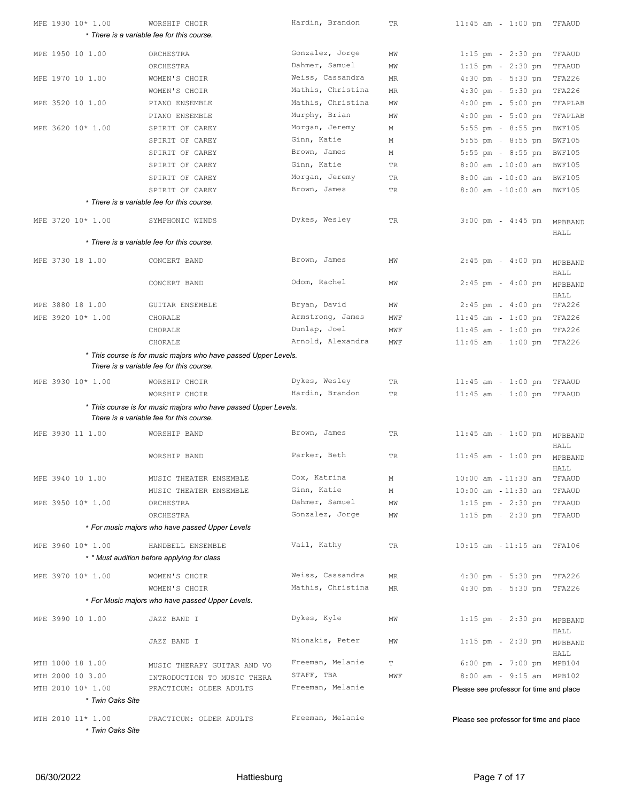| MPE 1930 10* 1.00 | WORSHIP CHOIR                                                                                               | Hardin, Brandon   | TR  | $11:45$ am<br>1:00 pm TFAAUD            |                 |
|-------------------|-------------------------------------------------------------------------------------------------------------|-------------------|-----|-----------------------------------------|-----------------|
|                   | * There is a variable fee for this course.                                                                  |                   |     |                                         |                 |
| MPE 1950 10 1.00  | ORCHESTRA                                                                                                   | Gonzalez, Jorge   | ΜW  | $1:15$ pm - $2:30$ pm                   | TFAAUD          |
|                   | ORCHESTRA                                                                                                   | Dahmer, Samuel    | ΜW  | $2:30$ pm<br>$1:15$ pm                  | TFAAUD          |
| MPE 1970 10 1.00  | WOMEN'S CHOIR                                                                                               | Weiss, Cassandra  | ΜR  | $4:30 \text{ pm } - 5:30 \text{ pm }$   | TFA226          |
|                   | WOMEN'S CHOIR                                                                                               | Mathis, Christina | MR  | $4:30$ pm - $5:30$ pm                   | TFA226          |
|                   |                                                                                                             | Mathis, Christina |     |                                         |                 |
| MPE 3520 10 1.00  | PIANO ENSEMBLE                                                                                              | Murphy, Brian     | ΜW  | $5:00$ pm<br>$4:00$ pm                  | TFAPLAB         |
|                   | PIANO ENSEMBLE                                                                                              | Morgan, Jeremy    | ΜW  | $4:00 \text{ pm} - 5:00 \text{ pm}$     | TFAPLAB         |
| MPE 3620 10* 1.00 | SPIRIT OF CAREY                                                                                             | Ginn, Katie       | М   | 5:55 pm - 8:55 pm                       | <b>BWF105</b>   |
|                   | SPIRIT OF CAREY                                                                                             | Brown, James      | М   | $8:55$ pm<br>$5:55$ pm                  | <b>BWF105</b>   |
|                   | SPIRIT OF CAREY                                                                                             | Ginn, Katie       | М   | $5:55$ pm - $8:55$ pm                   | <b>BWF105</b>   |
|                   | SPIRIT OF CAREY                                                                                             |                   | TR  | $8:00$ am $-10:00$ am                   | <b>BWF105</b>   |
|                   | SPIRIT OF CAREY                                                                                             | Morgan, Jeremy    | TR  | $10:00$ am<br>$8:00$ am                 | <b>BWF105</b>   |
|                   | SPIRIT OF CAREY                                                                                             | Brown, James      | TR  | $8:00$ am $-10:00$ am                   | <b>BWF105</b>   |
|                   | * There is a variable fee for this course.                                                                  |                   |     |                                         |                 |
| MPE 3720 10* 1.00 | SYMPHONIC WINDS                                                                                             | Dykes, Wesley     | TR  | $3:00$ pm<br>$4:45$ pm                  | MPBBAND         |
|                   |                                                                                                             |                   |     |                                         | HALL            |
|                   | * There is a variable fee for this course.                                                                  |                   |     |                                         |                 |
| MPE 3730 18 1.00  | CONCERT BAND                                                                                                | Brown, James      | ΜW  | $2:45$ pm<br>$4:00$ pm                  | MPBBAND         |
|                   |                                                                                                             |                   |     |                                         | HALL            |
|                   | CONCERT BAND                                                                                                | Odom, Rachel      | ΜW  | $2:45$ pm $-4:00$ pm                    | MPBBAND         |
|                   |                                                                                                             |                   |     |                                         | HALL            |
| MPE 3880 18 1.00  | <b>GUITAR ENSEMBLE</b>                                                                                      | Bryan, David      | ΜW  | $2:45$ pm - $4:00$ pm                   | TFA226          |
| MPE 3920 10* 1.00 | CHORALE                                                                                                     | Armstrong, James  | MWF | $11:45$ am<br>$1:00$ pm                 | TFA226          |
|                   | CHORALE                                                                                                     | Dunlap, Joel      | MWF | $11:45$ am - $1:00$ pm                  | TFA226          |
|                   | CHORALE                                                                                                     | Arnold, Alexandra | MWF | 11:45 am - 1:00 pm TFA226               |                 |
|                   | * This course is for music majors who have passed Upper Levels.<br>There is a variable fee for this course. |                   |     |                                         |                 |
|                   |                                                                                                             |                   |     |                                         |                 |
| MPE 3930 10* 1.00 | WORSHIP CHOIR                                                                                               | Dykes, Wesley     | TR  | $11:45$ am - $1:00$ pm                  | TFAAUD          |
|                   | WORSHIP CHOIR                                                                                               | Hardin, Brandon   | TR  | $11:45$ am<br>$1:00$ pm                 | TFAAUD          |
|                   | * This course is for music majors who have passed Upper Levels.<br>There is a variable fee for this course. |                   |     |                                         |                 |
|                   |                                                                                                             |                   |     |                                         |                 |
| MPE 3930 11 1.00  | WORSHIP BAND                                                                                                | Brown, James      | TR  | $11:45$ am<br>$1:00$ pm                 | MPBBAND         |
|                   | WORSHIP BAND                                                                                                | Parker, Beth      | TR  |                                         | HALL            |
|                   |                                                                                                             |                   |     | $11:45$ am<br>$1:00$ pm                 | MPBBAND<br>HALL |
| MPE 3940 10 1.00  | MUSIC THEATER ENSEMBLE                                                                                      | Cox, Katrina      | М   | $10:00$ am $-11:30$ am                  | TFAAUD          |
|                   | MUSIC THEATER ENSEMBLE                                                                                      | Ginn, Katie       | М   | 10:00 am  11:30 am                      | TFAAUD          |
| MPE 3950 10* 1.00 | ORCHESTRA                                                                                                   | Dahmer, Samuel    | ΜW  | $2:30$ pm<br>$1:15$ pm                  | TFAAUD          |
|                   | ORCHESTRA                                                                                                   | Gonzalez, Jorge   | ΜW  | $1:15$ pm - $2:30$ pm TFAAUD            |                 |
|                   | * For music majors who have passed Upper Levels                                                             |                   |     |                                         |                 |
|                   |                                                                                                             |                   |     |                                         |                 |
| MPE 3960 10* 1.00 | HANDBELL ENSEMBLE                                                                                           | Vail, Kathy       | TR  | 10:15 am - 11:15 am TFA106              |                 |
|                   | * * Must audition before applying for class                                                                 |                   |     |                                         |                 |
| MPE 3970 10* 1.00 | WOMEN'S CHOIR                                                                                               | Weiss, Cassandra  | MR  | $4:30$ pm<br>5:30 pm TFA226             |                 |
|                   | WOMEN'S CHOIR                                                                                               | Mathis, Christina | MR  | 4:30 pm - 5:30 pm TFA226                |                 |
|                   | * For Music majors who have passed Upper Levels.                                                            |                   |     |                                         |                 |
| MPE 3990 10 1.00  | JAZZ BAND I                                                                                                 | Dykes, Kyle       | ΜW  | $1:15$ pm - $2:30$ pm                   |                 |
|                   |                                                                                                             |                   |     |                                         | MPBBAND<br>HALL |
|                   | JAZZ BAND I                                                                                                 | Nionakis, Peter   | ΜW  | $1:15$ pm - 2:30 pm                     | MPBBAND         |
|                   |                                                                                                             |                   |     |                                         | HALL            |
| MTH 1000 18 1.00  | MUSIC THERAPY GUITAR AND VO                                                                                 | Freeman, Melanie  | T   | $6:00$ pm<br>7:00 pm MPB104             |                 |
| MTH 2000 10 3.00  | INTRODUCTION TO MUSIC THERA                                                                                 | STAFF, TBA        | MWF | 8:00 am - 9:15 am MPB102                |                 |
| MTH 2010 10* 1.00 | PRACTICUM: OLDER ADULTS                                                                                     | Freeman, Melanie  |     | Please see professor for time and place |                 |
| * Twin Oaks Site  |                                                                                                             |                   |     |                                         |                 |
| MTH 2010 11* 1.00 |                                                                                                             | Freeman, Melanie  |     |                                         |                 |
| * Twin Oaks Site  | PRACTICUM: OLDER ADULTS                                                                                     |                   |     | Please see professor for time and place |                 |
|                   |                                                                                                             |                   |     |                                         |                 |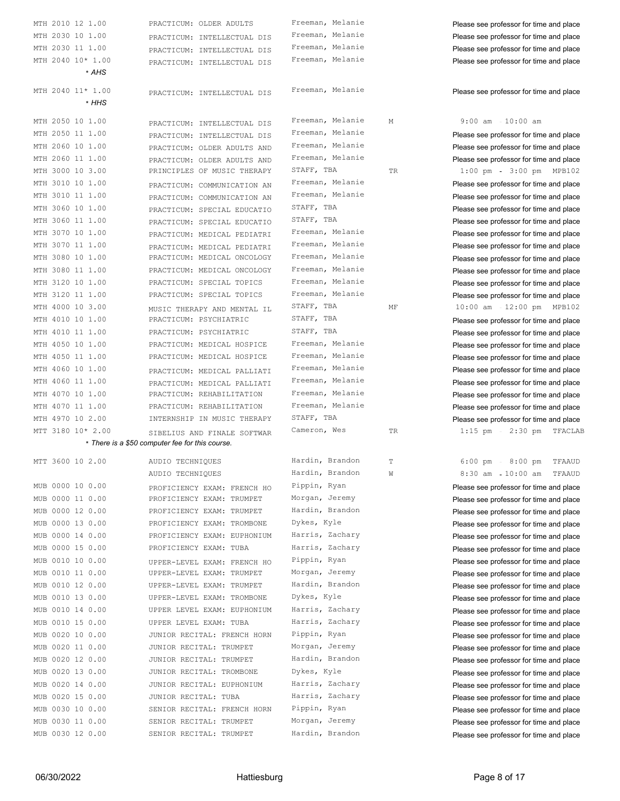| MTH 2010 12 1.00    |                                                 |                  |    |                                         |
|---------------------|-------------------------------------------------|------------------|----|-----------------------------------------|
|                     | PRACTICUM: OLDER ADULTS                         | Freeman, Melanie |    | Please see professor for time and place |
| MTH 2030 10 1.00    | PRACTICUM: INTELLECTUAL DIS                     | Freeman, Melanie |    | Please see professor for time and place |
| MTH 2030 11 1.00    | PRACTICUM: INTELLECTUAL DIS                     | Freeman, Melanie |    | Please see professor for time and place |
| MTH 2040 10* 1.00   | PRACTICUM: INTELLECTUAL DIS                     | Freeman, Melanie |    | Please see professor for time and place |
| * AHS               |                                                 |                  |    |                                         |
|                     |                                                 |                  |    |                                         |
| MTH 2040 11* 1.00   | PRACTICUM: INTELLECTUAL DIS                     | Freeman, Melanie |    | Please see professor for time and place |
| * HHS               |                                                 |                  |    |                                         |
| MTH 2050 10 1.00    | PRACTICUM: INTELLECTUAL DIS                     | Freeman, Melanie | М  | $9:00$ am $-10:00$ am                   |
| MTH 2050 11 1.00    | PRACTICUM: INTELLECTUAL DIS                     | Freeman, Melanie |    | Please see professor for time and place |
| MTH 2060 10 1.00    | PRACTICUM: OLDER ADULTS AND                     | Freeman, Melanie |    | Please see professor for time and place |
| MTH 2060 11 1.00    | PRACTICUM: OLDER ADULTS AND                     | Freeman, Melanie |    | Please see professor for time and place |
| MTH 3000 10 3.00    | PRINCIPLES OF MUSIC THERAPY                     | STAFF, TBA       | TR | $1:00$ pm<br>3:00 pm MPB102             |
| MTH 3010 10 1.00    | PRACTICUM: COMMUNICATION AN                     | Freeman, Melanie |    | Please see professor for time and place |
| MTH 3010 11 1.00    | PRACTICUM: COMMUNICATION AN                     | Freeman, Melanie |    | Please see professor for time and place |
| MTH 3060 10 1.00    | PRACTICUM: SPECIAL EDUCATIO                     | STAFF, TBA       |    | Please see professor for time and place |
| MTH 3060 11 1.00    |                                                 | STAFF, TBA       |    |                                         |
| MTH 3070 10 1.00    | PRACTICUM: SPECIAL EDUCATIO                     | Freeman, Melanie |    | Please see professor for time and place |
| MTH 3070 11 1.00    | PRACTICUM: MEDICAL PEDIATRI                     | Freeman, Melanie |    | Please see professor for time and place |
|                     | PRACTICUM: MEDICAL PEDIATRI                     | Freeman, Melanie |    | Please see professor for time and place |
| MTH 3080 10 1.00    | PRACTICUM: MEDICAL ONCOLOGY                     | Freeman, Melanie |    | Please see professor for time and place |
| MTH 3080 11 1.00    | PRACTICUM: MEDICAL ONCOLOGY                     |                  |    | Please see professor for time and place |
| MTH 3120 10 1.00    | PRACTICUM: SPECIAL TOPICS                       | Freeman, Melanie |    | Please see professor for time and place |
| MTH 3120 11 1.00    | PRACTICUM: SPECIAL TOPICS                       | Freeman, Melanie |    | Please see professor for time and place |
| MTH 4000 10 3.00    | MUSIC THERAPY AND MENTAL IL                     | STAFF, TBA       | МF | 10:00 am - 12:00 pm MPB102              |
| MTH 4010 10 1.00    | PRACTICUM: PSYCHIATRIC                          | STAFF, TBA       |    | Please see professor for time and place |
| MTH 4010 11 1.00    | PRACTICUM: PSYCHIATRIC                          | STAFF, TBA       |    | Please see professor for time and place |
| MTH 4050 10 1.00    | PRACTICUM: MEDICAL HOSPICE                      | Freeman, Melanie |    | Please see professor for time and place |
| MTH 4050 11 1.00    | PRACTICUM: MEDICAL HOSPICE                      | Freeman, Melanie |    | Please see professor for time and place |
| MTH 4060 10 1.00    | PRACTICUM: MEDICAL PALLIATI                     | Freeman, Melanie |    | Please see professor for time and place |
| MTH 4060 11 1.00    | PRACTICUM: MEDICAL PALLIATI                     | Freeman, Melanie |    | Please see professor for time and place |
| MTH 4070 10 1.00    | PRACTICUM: REHABILITATION                       | Freeman, Melanie |    | Please see professor for time and place |
| MTH 4070 11 1.00    | PRACTICUM: REHABILITATION                       | Freeman, Melanie |    | Please see professor for time and place |
| MTH 4970 10 2.00    | INTERNSHIP IN MUSIC THERAPY                     | STAFF, TBA       |    | Please see professor for time and place |
|                     |                                                 |                  | TR | $1:15$ pm<br>2:30 pm TFACLAB            |
| MTT 3180 10* 2.00   | SIBELIUS AND FINALE SOFTWAR                     | Cameron, Wes     |    |                                         |
|                     | * There is a \$50 computer fee for this course. |                  |    |                                         |
|                     |                                                 |                  |    |                                         |
| MTT 3600 10 2.00    | AUDIO TECHNIQUES                                | Hardin, Brandon  | T  | $6:00~pm$ -<br>$8:00$ pm<br>TFAAUD      |
|                     | AUDIO TECHNIQUES                                | Hardin, Brandon  | W  | 8:30 am 10:00 am TFAAUD                 |
| MUB 0000 10 0.00    | PROFICIENCY EXAM: FRENCH HO                     | Pippin, Ryan     |    | Please see professor for time and place |
| 0000 11 0.00<br>MUB | PROFICIENCY EXAM: TRUMPET                       | Morgan, Jeremy   |    | Please see professor for time and place |
| MUB 0000 12 0.00    | PROFICIENCY EXAM: TRUMPET                       | Hardin, Brandon  |    | Please see professor for time and place |
| 0000 13 0.00<br>MUB | PROFICIENCY EXAM: TROMBONE                      | Dykes, Kyle      |    | Please see professor for time and place |
| 0000 14 0.00<br>MUB | PROFICIENCY EXAM: EUPHONIUM                     | Harris, Zachary  |    | Please see professor for time and place |
| 0000 15 0.00<br>MUB | PROFICIENCY EXAM: TUBA                          | Harris, Zachary  |    | Please see professor for time and place |
| 0010 10 0.00<br>MUB | UPPER-LEVEL EXAM: FRENCH HO                     | Pippin, Ryan     |    | Please see professor for time and place |
| 0010 11 0.00<br>MUB | UPPER-LEVEL EXAM: TRUMPET                       | Morgan, Jeremy   |    | Please see professor for time and place |
| 0010 12 0.00<br>MUB | UPPER-LEVEL EXAM: TRUMPET                       | Hardin, Brandon  |    | Please see professor for time and place |
| 0010 13 0.00<br>MUB | UPPER-LEVEL EXAM: TROMBONE                      | Dykes, Kyle      |    | Please see professor for time and place |
| MUB 0010 14 0.00    | UPPER LEVEL EXAM: EUPHONIUM                     | Harris, Zachary  |    | Please see professor for time and place |
| MUB 0010 15 0.00    | UPPER LEVEL EXAM: TUBA                          | Harris, Zachary  |    | Please see professor for time and place |
| MUB 0020 10 0.00    | JUNIOR RECITAL: FRENCH HORN                     | Pippin, Ryan     |    | Please see professor for time and place |
| MUB 0020 11 0.00    | JUNIOR RECITAL: TRUMPET                         | Morgan, Jeremy   |    | Please see professor for time and place |
| MUB 0020 12 0.00    | JUNIOR RECITAL: TRUMPET                         | Hardin, Brandon  |    | Please see professor for time and place |
| MUB 0020 13 0.00    | JUNIOR RECITAL: TROMBONE                        | Dykes, Kyle      |    | Please see professor for time and place |
| MUB 0020 14 0.00    | JUNIOR RECITAL: EUPHONIUM                       | Harris, Zachary  |    | Please see professor for time and place |
| MUB 0020 15 0.00    | JUNIOR RECITAL: TUBA                            | Harris, Zachary  |    | Please see professor for time and place |
| MUB 0030 10 0.00    | SENIOR RECITAL: FRENCH HORN                     | Pippin, Ryan     |    | Please see professor for time and place |
| MUB 0030 11 0.00    | SENIOR RECITAL: TRUMPET                         | Morgan, Jeremy   |    | Please see professor for time and place |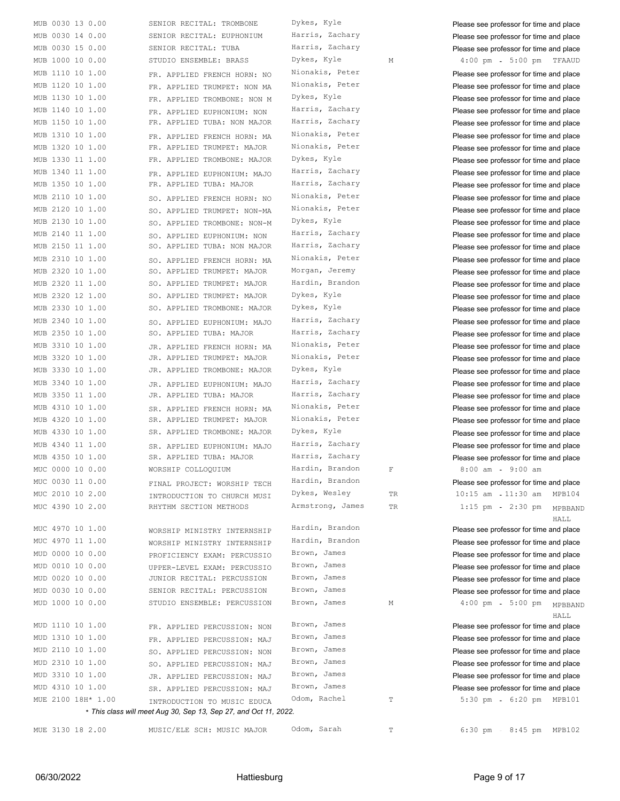| MUB 0030 13 0.00   | SENIOR RECITAL: TROMBONE                                         | Dykes, Kyle      |             | Please see professor for time and place |
|--------------------|------------------------------------------------------------------|------------------|-------------|-----------------------------------------|
| MUB 0030 14 0.00   | SENIOR RECITAL: EUPHONIUM                                        | Harris, Zachary  |             | Please see professor for time and place |
| MUB 0030 15 0.00   | SENIOR RECITAL: TUBA                                             | Harris, Zachary  |             | Please see professor for time and place |
| MUB 1000 10 0.00   | STUDIO ENSEMBLE: BRASS                                           | Dykes, Kyle      | М           | $4:00$ pm<br>5:00 pm TFAAUD             |
| MUB 1110 10 1.00   | FR. APPLIED FRENCH HORN: NO                                      | Nionakis, Peter  |             | Please see professor for time and place |
| MUB 1120 10 1.00   | FR. APPLIED TRUMPET: NON MA                                      | Nionakis, Peter  |             | Please see professor for time and place |
| MUB 1130 10 1.00   | FR. APPLIED TROMBONE: NON M                                      | Dykes, Kyle      |             | Please see professor for time and place |
| MUB 1140 10 1.00   | FR. APPLIED EUPHONIUM: NON                                       | Harris, Zachary  |             | Please see professor for time and place |
| MUB 1150 10 1.00   | FR. APPLIED TUBA: NON MAJOR                                      | Harris, Zachary  |             | Please see professor for time and place |
| MUB 1310 10 1.00   | FR. APPLIED FRENCH HORN: MA                                      | Nionakis, Peter  |             | Please see professor for time and place |
| MUB 1320 10 1.00   | FR. APPLIED TRUMPET: MAJOR                                       | Nionakis, Peter  |             | Please see professor for time and place |
| MUB 1330 11 1.00   | FR. APPLIED TROMBONE: MAJOR                                      | Dykes, Kyle      |             | Please see professor for time and place |
| MUB 1340 11 1.00   |                                                                  | Harris, Zachary  |             | Please see professor for time and place |
| MUB 1350 10 1.00   | FR. APPLIED EUPHONIUM: MAJO<br>FR. APPLIED TUBA: MAJOR           | Harris, Zachary  |             |                                         |
| MUB 2110 10 1.00   |                                                                  | Nionakis, Peter  |             | Please see professor for time and place |
|                    | SO. APPLIED FRENCH HORN: NO                                      | Nionakis, Peter  |             | Please see professor for time and place |
| MUB 2120 10 1.00   | SO. APPLIED TRUMPET: NON-MA                                      |                  |             | Please see professor for time and place |
| MUB 2130 10 1.00   | SO. APPLIED TROMBONE: NON-M                                      | Dykes, Kyle      |             | Please see professor for time and place |
| MUB 2140 11 1.00   | SO. APPLIED EUPHONIUM: NON                                       | Harris, Zachary  |             | Please see professor for time and place |
| MUB 2150 11 1.00   | SO. APPLIED TUBA: NON MAJOR                                      | Harris, Zachary  |             | Please see professor for time and place |
| MUB 2310 10 1.00   | SO. APPLIED FRENCH HORN: MA                                      | Nionakis, Peter  |             | Please see professor for time and place |
| MUB 2320 10 1.00   | SO. APPLIED TRUMPET: MAJOR                                       | Morgan, Jeremy   |             | Please see professor for time and place |
| MUB 2320 11 1.00   | SO. APPLIED TRUMPET: MAJOR                                       | Hardin, Brandon  |             | Please see professor for time and place |
| MUB 2320 12 1.00   | SO. APPLIED TRUMPET: MAJOR                                       | Dykes, Kyle      |             | Please see professor for time and place |
| MUB 2330 10 1.00   | SO. APPLIED TROMBONE: MAJOR                                      | Dykes, Kyle      |             | Please see professor for time and place |
| MUB 2340 10 1.00   | SO. APPLIED EUPHONIUM: MAJO                                      | Harris, Zachary  |             | Please see professor for time and place |
| MUB 2350 10 1.00   | SO. APPLIED TUBA: MAJOR                                          | Harris, Zachary  |             | Please see professor for time and place |
| MUB 3310 10 1.00   | JR. APPLIED FRENCH HORN: MA                                      | Nionakis, Peter  |             | Please see professor for time and place |
| MUB 3320 10 1.00   | JR. APPLIED TRUMPET: MAJOR                                       | Nionakis, Peter  |             | Please see professor for time and place |
| MUB 3330 10 1.00   | JR. APPLIED TROMBONE: MAJOR                                      | Dykes, Kyle      |             | Please see professor for time and place |
| MUB 3340 10 1.00   | JR. APPLIED EUPHONIUM: MAJO                                      | Harris, Zachary  |             | Please see professor for time and place |
| MUB 3350 11 1.00   | JR. APPLIED TUBA: MAJOR                                          | Harris, Zachary  |             | Please see professor for time and place |
| MUB 4310 10 1.00   | SR. APPLIED FRENCH HORN: MA                                      | Nionakis, Peter  |             | Please see professor for time and place |
| MUB 4320 10 1.00   | SR. APPLIED TRUMPET: MAJOR                                       | Nionakis, Peter  |             | Please see professor for time and place |
| MUB 4330 10 1.00   | SR. APPLIED TROMBONE: MAJOR                                      | Dykes, Kyle      |             | Please see professor for time and place |
| MUB 4340 11 1.00   | SR. APPLIED EUPHONIUM: MAJO                                      | Harris, Zachary  |             | Please see professor for time and place |
| MUB 4350 10 1.00   | SR. APPLIED TUBA: MAJOR                                          | Harris, Zachary  |             | Please see professor for time and place |
| MUC 0000 10 0.00   | WORSHIP COLLOQUIUM                                               | Hardin, Brandon  | $\mathbf F$ | 8:00 am 9:00 am                         |
| MUC 0030 11 0.00   | FINAL PROJECT: WORSHIP TECH                                      | Hardin, Brandon  |             | Please see professor for time and place |
| MUC 2010 10 2.00   | INTRODUCTION TO CHURCH MUSI                                      | Dykes, Wesley    | TR          | $10:15$ am $-11:30$ am<br>MPB104        |
| MUC 4390 10 2.00   | RHYTHM SECTION METHODS                                           | Armstrong, James | TR          | $2:30$ pm<br>$1:15$ pm<br>MPBBAND       |
|                    |                                                                  |                  |             | HALL                                    |
| MUC 4970 10 1.00   | WORSHIP MINISTRY INTERNSHIP                                      | Hardin, Brandon  |             | Please see professor for time and place |
| MUC 4970 11 1.00   | WORSHIP MINISTRY INTERNSHIP                                      | Hardin, Brandon  |             | Please see professor for time and place |
| MUD 0000 10 0.00   | PROFICIENCY EXAM: PERCUSSIO                                      | Brown, James     |             | Please see professor for time and place |
| MUD 0010 10 0.00   | UPPER-LEVEL EXAM: PERCUSSIO                                      | Brown, James     |             | Please see professor for time and place |
| MUD 0020 10 0.00   | JUNIOR RECITAL: PERCUSSION                                       | Brown, James     |             | Please see professor for time and place |
| MUD 0030 10 0.00   | SENIOR RECITAL: PERCUSSION                                       | Brown, James     |             | Please see professor for time and place |
| MUD 1000 10 0.00   | STUDIO ENSEMBLE: PERCUSSION                                      | Brown, James     | М           | $4:00$ pm<br>5:00 pm MPBBAND            |
|                    |                                                                  |                  |             | HALL                                    |
| MUD 1110 10 1.00   | FR. APPLIED PERCUSSION: NON                                      | Brown, James     |             | Please see professor for time and place |
| MUD 1310 10 1.00   | FR. APPLIED PERCUSSION: MAJ                                      | Brown, James     |             | Please see professor for time and place |
| MUD 2110 10 1.00   | SO. APPLIED PERCUSSION: NON                                      | Brown, James     |             | Please see professor for time and place |
| MUD 2310 10 1.00   | SO. APPLIED PERCUSSION: MAJ                                      | Brown, James     |             | Please see professor for time and place |
| MUD 3310 10 1.00   | JR. APPLIED PERCUSSION: MAJ                                      | Brown, James     |             | Please see professor for time and place |
| MUD 4310 10 1.00   | SR. APPLIED PERCUSSION: MAJ                                      | Brown, James     |             | Please see professor for time and place |
| MUE 2100 18H* 1.00 | INTRODUCTION TO MUSIC EDUCA                                      | Odom, Rachel     | $\mathbb T$ | 5:30 pm - 6:20 pm MPB101                |
|                    | * This class will meet Aug 30, Sep 13, Sep 27, and Oct 11, 2022. |                  |             |                                         |
| MUE 3130 18 2.00   | MUSIC/ELE SCH: MUSIC MAJOR                                       | Odom, Sarah      | Т           | 6:30 pm - 8:45 pm MPB102                |
|                    |                                                                  |                  |             |                                         |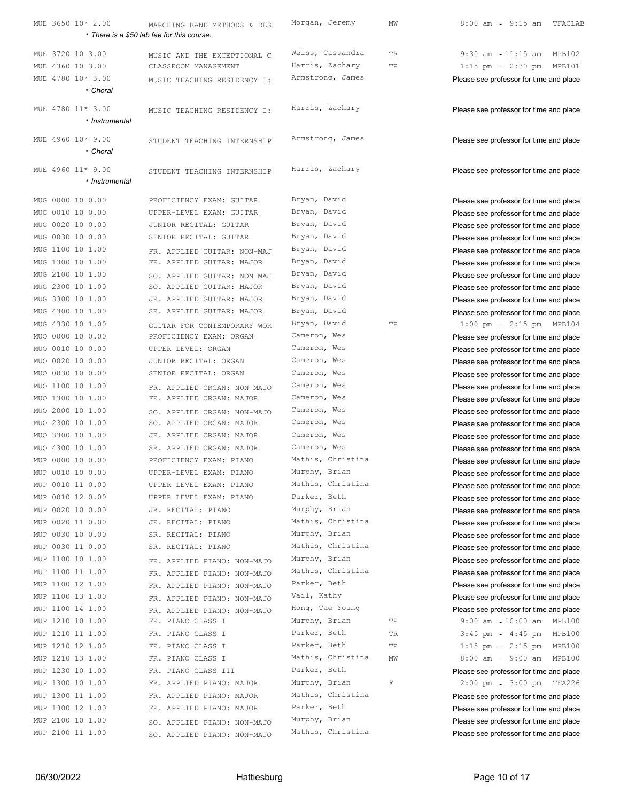| MUE 3650 10* 2.00             | MARCHING BAND METHODS & DES<br>* There is a \$50 lab fee for this course. | Morgan, Jeremy    | ΜW          | $8:00$ am<br>$9:15$ am<br>TFACLAB       |
|-------------------------------|---------------------------------------------------------------------------|-------------------|-------------|-----------------------------------------|
| MUE 3720 10 3.00              |                                                                           | Weiss, Cassandra  |             | $9:30$ am $-11:15$ am<br>MPB102         |
| MUE 4360 10 3.00              | MUSIC AND THE EXCEPTIONAL C                                               | Harris, Zachary   | TR          | $1:15$ pm                               |
| MUE 4780 10* 3.00             | CLASSROOM MANAGEMENT                                                      | Armstrong, James  | TR          | $2:30$ pm<br>MPB101                     |
| * Choral                      | MUSIC TEACHING RESIDENCY I:                                               |                   |             | Please see professor for time and place |
|                               |                                                                           |                   |             |                                         |
| MUE 4780 11* 3.00             | MUSIC TEACHING RESIDENCY I:                                               | Harris, Zachary   |             | Please see professor for time and place |
| * Instrumental                |                                                                           |                   |             |                                         |
|                               |                                                                           | Armstrong, James  |             |                                         |
| MUE 4960 10* 9.00<br>* Choral | STUDENT TEACHING INTERNSHIP                                               |                   |             | Please see professor for time and place |
|                               |                                                                           |                   |             |                                         |
| MUE 4960 11* 9.00             | STUDENT TEACHING INTERNSHIP                                               | Harris, Zachary   |             | Please see professor for time and place |
| * Instrumental                |                                                                           |                   |             |                                         |
| MUG 0000 10 0.00              | PROFICIENCY EXAM: GUITAR                                                  | Bryan, David      |             | Please see professor for time and place |
| MUG 0010 10 0.00              | UPPER-LEVEL EXAM: GUITAR                                                  | Bryan, David      |             |                                         |
| MUG 0020 10 0.00              | JUNIOR RECITAL: GUITAR                                                    | Bryan, David      |             | Please see professor for time and place |
| MUG 0030 10 0.00              | SENIOR RECITAL: GUITAR                                                    | Bryan, David      |             | Please see professor for time and place |
| MUG 1100 10 1.00              |                                                                           | Bryan, David      |             | Please see professor for time and place |
|                               | FR. APPLIED GUITAR: NON-MAJ                                               | Bryan, David      |             | Please see professor for time and place |
| MUG 1300 10 1.00              | FR. APPLIED GUITAR: MAJOR                                                 | Bryan, David      |             | Please see professor for time and place |
| MUG 2100 10 1.00              | SO. APPLIED GUITAR: NON MAJ                                               |                   |             | Please see professor for time and place |
| MUG 2300 10 1.00              | SO. APPLIED GUITAR: MAJOR                                                 | Bryan, David      |             | Please see professor for time and place |
| MUG 3300 10 1.00              | JR. APPLIED GUITAR: MAJOR                                                 | Bryan, David      |             | Please see professor for time and place |
| MUG 4300 10 1.00              | SR. APPLIED GUITAR: MAJOR                                                 | Bryan, David      |             | Please see professor for time and place |
| MUG 4330 10 1.00              | GUITAR FOR CONTEMPORARY WOR                                               | Bryan, David      | TR          | $1:00$ pm<br>2:15 pm MPB104             |
| MUO 0000 10 0.00              | PROFICIENCY EXAM: ORGAN                                                   | Cameron, Wes      |             | Please see professor for time and place |
| MUO 0010 10 0.00              | UPPER LEVEL: ORGAN                                                        | Cameron, Wes      |             | Please see professor for time and place |
| MUO 0020 10 0.00              | JUNIOR RECITAL: ORGAN                                                     | Cameron, Wes      |             | Please see professor for time and place |
| MUO 0030 10 0.00              | SENIOR RECITAL: ORGAN                                                     | Cameron, Wes      |             | Please see professor for time and place |
| MUO 1100 10 1.00              | FR. APPLIED ORGAN: NON MAJO                                               | Cameron, Wes      |             | Please see professor for time and place |
| MUO 1300 10 1.00              | FR. APPLIED ORGAN: MAJOR                                                  | Cameron, Wes      |             | Please see professor for time and place |
| MUO 2000 10 1.00              | SO. APPLIED ORGAN: NON-MAJO                                               | Cameron, Wes      |             | Please see professor for time and place |
| MUO 2300 10 1.00              | SO. APPLIED ORGAN: MAJOR                                                  | Cameron, Wes      |             | Please see professor for time and place |
| MUO 3300 10 1.00              | JR. APPLIED ORGAN: MAJOR                                                  | Cameron, Wes      |             | Please see professor for time and place |
| MUO 4300 10 1.00              | SR. APPLIED ORGAN: MAJOR                                                  | Cameron, Wes      |             | Please see professor for time and place |
| MUP 0000 10 0.00              | PROFICIENCY EXAM: PIANO                                                   | Mathis, Christina |             | Please see professor for time and place |
| MUP 0010 10 0.00              | UPPER-LEVEL EXAM: PIANO                                                   | Murphy, Brian     |             | Please see professor for time and place |
| MUP 0010 11 0.00              | UPPER LEVEL EXAM: PIANO                                                   | Mathis, Christina |             | Please see professor for time and place |
| MUP 0010 12 0.00              | UPPER LEVEL EXAM: PIANO                                                   | Parker, Beth      |             | Please see professor for time and place |
| MUP 0020 10 0.00              | JR. RECITAL: PIANO                                                        | Murphy, Brian     |             | Please see professor for time and place |
| MUP 0020 11 0.00              | JR. RECITAL: PIANO                                                        | Mathis, Christina |             | Please see professor for time and place |
| MUP 0030 10 0.00              | SR. RECITAL: PIANO                                                        | Murphy, Brian     |             | Please see professor for time and place |
| MUP 0030 11 0.00              | SR. RECITAL: PIANO                                                        | Mathis, Christina |             | Please see professor for time and place |
| MUP 1100 10 1.00              | FR. APPLIED PIANO: NON-MAJO                                               | Murphy, Brian     |             | Please see professor for time and place |
| MUP 1100 11 1.00              | FR. APPLIED PIANO: NON-MAJO                                               | Mathis, Christina |             | Please see professor for time and place |
| MUP 1100 12 1.00              | FR. APPLIED PIANO: NON-MAJO                                               | Parker, Beth      |             | Please see professor for time and place |
| MUP 1100 13 1.00              | FR. APPLIED PIANO: NON-MAJO                                               | Vail, Kathy       |             | Please see professor for time and place |
| MUP 1100 14 1.00              | FR. APPLIED PIANO: NON-MAJO                                               | Hong, Tae Young   |             | Please see professor for time and place |
| MUP 1210 10 1.00              | FR. PIANO CLASS I                                                         | Murphy, Brian     | TR          | 9:00 am 10:00 am MPB100                 |
| MUP 1210 11 1.00              | FR. PIANO CLASS I                                                         | Parker, Beth      | TR          | $3:45$ pm - $4:45$ pm<br>MPB100         |
| MUP 1210 12 1.00              | FR. PIANO CLASS I                                                         | Parker, Beth      | TR          | $1:15$ pm<br>$2:15$ pm<br>MPB100        |
| MUP 1210 13 1.00              | FR. PIANO CLASS I                                                         | Mathis, Christina | MW          | $8:00$ am<br>$9:00$ am<br>MPB100        |
| MUP 1230 10 1.00              | FR. PIANO CLASS III                                                       | Parker, Beth      |             | Please see professor for time and place |
| MUP 1300 10 1.00              | FR. APPLIED PIANO: MAJOR                                                  | Murphy, Brian     | $\mathbb F$ | 2:00~pm<br>3:00 pm TFA226               |
| MUP 1300 11 1.00              | FR. APPLIED PIANO: MAJOR                                                  | Mathis, Christina |             | Please see professor for time and place |
| MUP 1300 12 1.00              | FR. APPLIED PIANO: MAJOR                                                  | Parker, Beth      |             | Please see professor for time and place |
| MUP 2100 10 1.00              | SO. APPLIED PIANO: NON-MAJO                                               | Murphy, Brian     |             | Please see professor for time and place |
| MUP 2100 11 1.00              | SO. APPLIED PIANO: NON-MAJO                                               | Mathis, Christina |             | Please see professor for time and place |
|                               |                                                                           |                   |             |                                         |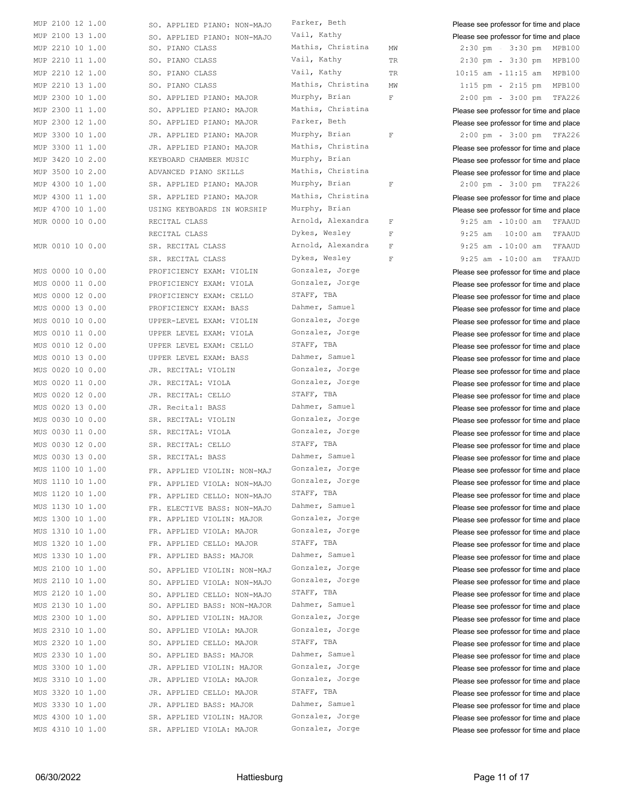| MUP        | 2100     | 12 | 1.00    |
|------------|----------|----|---------|
| MUP        | 2100     | 13 | 1.00    |
| MUP        | 2210     | 10 | 1.00    |
| MUP        | 2210     | 11 | 1.00    |
| MUP        | 2210     | 12 | 1.00    |
| MUP        | 2210     | 13 | 1.00    |
| MUP        | 2300     | 10 | 1.00    |
| MUP        | 2300     | 11 | 1.00    |
| MUP        | 2300     | 12 | 1.00    |
| MUP        | 3300     | 10 | 1.00    |
| MUP        | 3300     | 11 | 1.00    |
| MUP        | 3420     | 10 | 2.00    |
| MUP        | 3500     | 10 | 2.00    |
| MUP        | 4300     | 10 | 1.00    |
| MUP        | 4300     | 11 | 1.00    |
| MUP        | 4700     | 10 | 1.00    |
| MUR        | 0000     | 10 | 0.00    |
|            |          |    |         |
| MUR        | 0010     | 10 | 0.00    |
| MUS        | 0000     | 10 | 0.00    |
|            | MUS 0000 | 11 | 0.00    |
| MUS        | 0000     |    | 12 0.00 |
| MUS        | 0000     |    | 13 0.00 |
| MUS        | 0010     |    | 10 0.00 |
| MUS        | 0010     | 11 | 0.00    |
| MUS        | 0010     | 12 | 0.00    |
| MUS        | 0010     | 13 | 0.00    |
| MUS        | 0020     | 10 | 0.00    |
| MUS        | 0020     | 11 | 0.00    |
| MUS        | 0020     | 12 | 0.00    |
| MUS        | 0020     | 13 | 0.00    |
| MUS        | 0030     | 10 | 0.00    |
| MUS        | 0030     | 11 | 0.00    |
| <b>MUS</b> | 0030     | 12 | 0.00    |
| MUS        | 0030     | 13 | 0.00    |
| MUS        | 1100     | 10 | 1.00    |
| MUS        | 1110     | 10 | 1.00    |
| MUS        | 1120     | 10 | 1.00    |
| MUS        | 1130     | 10 | 1.00    |
| MUS        | 1300     | 10 | 1.00    |
| MUS        | 1310     | 10 | 1.00    |
| MUS        | 1320     | 10 | 1.00    |
| MUS        | 1330     | 10 | 1.00    |
|            | MUS 2100 | 10 | 1.00    |
|            | MUS 2110 | 10 | 1.00    |
|            | MUS 2120 | 10 | 1.00    |
|            | MUS 2130 | 10 | 1.00    |
| MUS        | 2300     | 10 | 1.00    |
| MUS        | 2310     | 10 | 1.00    |
| MUS        | 2320     | 10 | 1.00    |
| MUS        | 2330     | 10 | 1.00    |
|            | MUS 3300 | 10 | 1.00    |
|            | MUS 3310 | 10 | 1.00    |
| MUS        | 3320     | 10 | 1.00    |
| MUS        | 3330     | 10 | 1.00    |
| MUS        | 4300     | 10 | 1.00    |

 $SO.$  APPLIED PIANO: NON-MAJO Parker, Beth **Please see professor for time and place** SO. APPLIED PIANO: NON-MAJO <sup>Vail, Kathy</sup> Please see professor for time and place SO. PIANO CLASS Mathis, Christina MW 2:30 pm - 3:30 pm MPB100 SO. PIANO CLASS **EXAMPLE 2210 INCREDIENT VALUATION** TR 2:30 pm - 3:30 pm MPB100 SO. PIANO CLASS **EXAMP 2212** Vail, Kathy TR 10:15 am 11:15 am MPB100 SO. PIANO CLASS 6 13 13 1.15 MATHIS, Christina MW 1:15 pm - 2:15 pm MPB100 SO. APPLIED PIANO: MAJOR Murphy, Brian F 2:00 pm 3:00 pm TFA226 SO. APPLIED PIANO: MAJOR Mathis, Christina Please see professor for time and place SO. APPLIED PIANO: MAJOR Parker, Beth Please see professor for time and place JR. APPLIED PIANO: MAJOR Murphy, Brian F 2:00 pm 3:00 pm TFA226 JR. APPLIED PIANO: MAJOR Mathis, Christina Please see professor for time and place KEYBOARD CHAMBER MUSIC Murphy, Brian **Please see professor for time and place** ADVANCED PIANO SKILLS Mathis, Christina Please see professor for time and place SR. APPLIED PIANO: MAJOR Murphy, Brian F 2:00 pm 3:00 pm TFA226 SR. APPLIED PIANO: MAJOR Mathis, Christina Please see professor for time and place USING KEYBOARDS IN WORSHIP Murphy, Brian Please see professor for time and place MUR 0000 10 0.00 RECITAL CLASS Arnold, Alexandra F 9:25 am - 10:00 am TFAAUD RECITAL CLASS Dykes, Wesley F 9:25 am - 10:00 am TFAAUD SR. RECITAL CLASS Arnold, Alexandra F 9:25 am 10:00 am TFAAUD SR. RECITAL CLASS Dykes, Wesley F 9:25 am - 10:00 am TFAAUD PROFICIENCY EXAM: VIOLIN Gonzalez, Jorge Please see professor for time and place PROFICIENCY EXAM: VIOLA Gonzalez, Jorge Please see professor for time and place PROFICIENCY EXAM: CELLO STAFF, TBA Please see professor for time and place PROFICIENCY EXAM: BASS Dahmer, Samuel Please see professor for time and place UPPER-LEVEL EXAM: VIOLIN Gonzalez, Jorge Please see professor for time and place UPPER LEVEL EXAM: VIOLA Gonzalez, Jorge Please see professor for time and place UPPER LEVEL EXAM: CELLO STAFF, TBA Please see professor for time and place UPPER LEVEL EXAM: BASS Dahmer, Samuel Please see professor for time and place JR. RECITAL: VIOLIN Gonzalez, Jorge Please see professor for time and place JR. RECITAL: VIOLA Gonzalez, Jorge Please see professor for time and place JR. RECITAL: CELLO STAFF, TBA Please see professor for time and place JR. Recital: BASS Dahmer, Samuel Please see professor for time and place SR. RECITAL: VIOLIN Gonzalez, Jorge Please see professor for time and place SR. RECITAL: VIOLA Gonzalez, Jorge Please see professor for time and place SR. RECITAL: CELLO STAFF, TBA Please see professor for time and place SR. RECITAL: BASS Dahmer, Samuel Please see professor for time and place FR. APPLIED VIOLIN: NON-MAJ GONZalez, Jorge Please see professor for time and place FR. APPLIED VIOLA: NON-MAJO Gonzalez, Jorge Please see professor for time and place FR. APPLIED CELLO: NON-MAJO STAFF, TBA Please see professor for time and place FR. ELECTIVE BASS: NON-MAJO Dahmer, Samuel Please see professor for time and place FR. APPLIED VIOLIN: MAJOR Gonzalez, Jorge Please see professor for time and place FR. APPLIED VIOLA: MAJOR Gonzalez, Jorge Please see professor for time and place FR. APPLIED CELLO: MAJOR STAFF, TBA Please see professor for time and place FR. APPLIED BASS: MAJOR Dahmer, Samuel Please see professor for time and place SO. APPLIED VIOLIN: NON-MAJ Gonzalez, Jorge Please see professor for time and place SO. APPLIED VIOLA: NON-MAJO Gonzalez, Jorge Please see professor for time and place SO. APPLIED CELLO: NON-MAJO STAFF, TBA Please see professor for time and place SO. APPLIED BASS: NON-MAJOR Dahmer, Samuel Please see professor for time and place SO. APPLIED VIOLIN: MAJOR Gonzalez, Jorge Please see professor for time and place SO. APPLIED VIOLA: MAJOR Gonzalez, Jorge Please see professor for time and place SO. APPLIED CELLO: MAJOR STAFF, TBA Please see professor for time and place SO. APPLIED BASS: MAJOR Dahmer, Samuel Please see professor for time and place JR. APPLIED VIOLIN: MAJOR Gonzalez, Jorge Please see professor for time and place JR. APPLIED VIOLA: MAJOR Gonzalez, Jorge Please see professor for time and place JR. APPLIED CELLO: MAJOR STAFF, TBA Please see professor for time and place JR. APPLIED BASS: MAJOR Dahmer, Samuel Please see professor for time and place SR. APPLIED VIOLIN: MAJOR Gonzalez, Jorge Please see professor for time and place MUS 4310 10 1.00 SR. APPLIED VIOLA: MAJOR Gonzalez, Jorge Please see professor for time and place

| raikei, beth      |
|-------------------|
| Vail, Kathy       |
| Mathis, Christina |
| Vail, Kathy       |
| Vail, Kathy       |
| Mathis, Christina |
| Murphy, Brian     |
| Mathis, Christina |
| Parker, Beth      |
| Murphy, Brian     |
| Mathis, Christina |
| Murphy, Brian     |
| Mathis, Christina |
| Murphy, Brian     |
| Mathis, Christina |
| Murphy, Brian     |
| Arnold, Alexandra |
| Dykes, Wesley     |
| Arnold, Alexandra |
| Dykes, Wesley     |
| Gonzalez, Jorge   |
| Gonzalez, Jorge   |
| STAFF, TBA        |
| Dahmer, Samuel    |
| Gonzalez, Jorge   |
| Gonzalez, Jorge   |
| STAFF, TBA        |
| Dahmer, Samuel    |
| Gonzalez, Jorge   |
| Gonzalez, Jorge   |
| STAFF, TBA        |
| Dahmer, Samuel    |
| Gonzalez, Jorge   |
| Gonzalez, Jorge   |
| STAFF, TBA        |
| Dahmer, Samuel    |
| Gonzalez, Jorge   |
| Gonzalez, Jorge   |
| STAFF, TBA        |
| Dahmer, Samuel    |
| Gonzalez, Jorge   |
| Gonzalez, Jorge   |
| STAFF, TBA        |
| Dahmer, Samuel    |
| Gonzalez, Jorge   |
| Gonzalez, Jorge   |
| STAFF, TBA        |
| Dahmer, Samuel    |
|                   |
| Gonzalez, Jorge   |
| Gonzalez, Jorge   |
| STAFF, TBA        |
| Dahmer, Samuel    |
| Gonzalez, Jorge   |
| Gonzalez, Jorge   |
| STAFF, TBA        |
| Dahmer, Samuel    |
| Gonzalez, Jorge   |
| Gonzalez, Jorge   |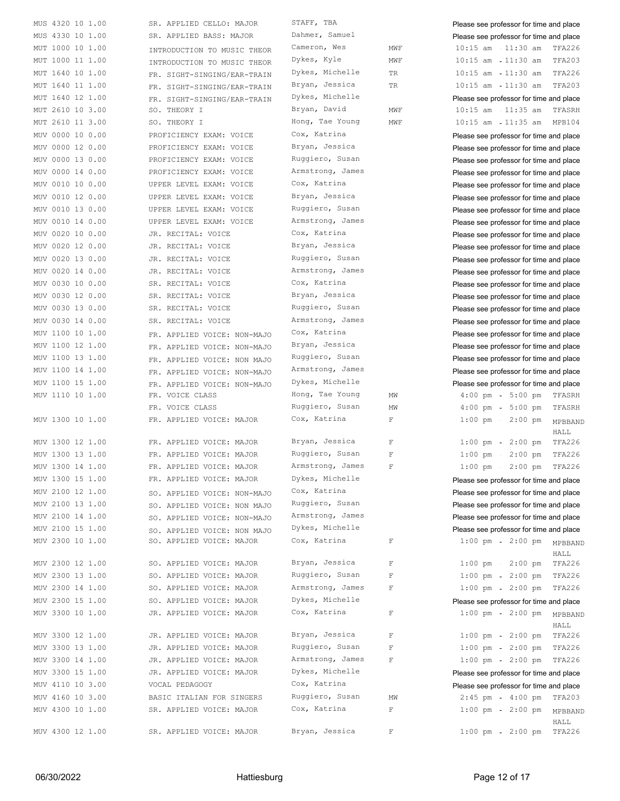| MUS 4320 10 1.00 | SR. APPLIED CELLO: MAJOR    | STAFF, TBA       |             | Please see professor for time and place          |
|------------------|-----------------------------|------------------|-------------|--------------------------------------------------|
| MUS 4330 10 1.00 | SR. APPLIED BASS: MAJOR     | Dahmer, Samuel   |             | Please see professor for time and place          |
| MUT 1000 10 1.00 | INTRODUCTION TO MUSIC THEOR | Cameron, Wes     | MWF         | $10:15$ am $-11:30$ am<br>TFA226                 |
| MUT 1000 11 1.00 | INTRODUCTION TO MUSIC THEOR | Dykes, Kyle      | MWF         | $10:15$ am<br>11:30 am<br>TFA203                 |
| MUT 1640 10 1.00 | FR. SIGHT-SINGING/EAR-TRAIN | Dykes, Michelle  | TR          | $10:15$ am<br>TFA226<br>11:30 am                 |
| MUT 1640 11 1.00 | FR. SIGHT-SINGING/EAR-TRAIN | Bryan, Jessica   | TR          | $10:15$ am $-11:30$ am<br>TFA203                 |
| MUT 1640 12 1.00 | FR. SIGHT-SINGING/EAR-TRAIN | Dykes, Michelle  |             | Please see professor for time and place          |
| MUT 2610 10 3.00 | SO. THEORY I                | Bryan, David     | MWF         | $10:15$ am $11:35$ am<br>TFASRH                  |
| MUT 2610 11 3.00 | SO. THEORY I                | Hong, Tae Young  | MWF         | 10:15 am - 11:35 am MPB104                       |
|                  |                             | Cox, Katrina     |             |                                                  |
| MUV 0000 10 0.00 | PROFICIENCY EXAM: VOICE     |                  |             | Please see professor for time and place          |
| MUV 0000 12 0.00 | PROFICIENCY EXAM: VOICE     | Bryan, Jessica   |             | Please see professor for time and place          |
| MUV 0000 13 0.00 | PROFICIENCY EXAM: VOICE     | Ruggiero, Susan  |             | Please see professor for time and place          |
| MUV 0000 14 0.00 | PROFICIENCY EXAM: VOICE     | Armstrong, James |             | Please see professor for time and place          |
| MUV 0010 10 0.00 | UPPER LEVEL EXAM: VOICE     | Cox, Katrina     |             | Please see professor for time and place          |
| MUV 0010 12 0.00 | UPPER LEVEL EXAM: VOICE     | Bryan, Jessica   |             | Please see professor for time and place          |
| MUV 0010 13 0.00 | UPPER LEVEL EXAM: VOICE     | Ruggiero, Susan  |             | Please see professor for time and place          |
| MUV 0010 14 0.00 | UPPER LEVEL EXAM: VOICE     | Armstrong, James |             | Please see professor for time and place          |
| MUV 0020 10 0.00 | JR. RECITAL: VOICE          | Cox, Katrina     |             | Please see professor for time and place          |
| MUV 0020 12 0.00 | JR. RECITAL: VOICE          | Bryan, Jessica   |             |                                                  |
|                  |                             |                  |             | Please see professor for time and place          |
| MUV 0020 13 0.00 | JR. RECITAL: VOICE          | Ruggiero, Susan  |             | Please see professor for time and place          |
| MUV 0020 14 0.00 | JR. RECITAL: VOICE          | Armstrong, James |             | Please see professor for time and place          |
| MUV 0030 10 0.00 | SR. RECITAL: VOICE          | Cox, Katrina     |             | Please see professor for time and place          |
| MUV 0030 12 0.00 | SR. RECITAL: VOICE          | Bryan, Jessica   |             | Please see professor for time and place          |
| MUV 0030 13 0.00 | SR. RECITAL: VOICE          | Ruggiero, Susan  |             | Please see professor for time and place          |
| MUV 0030 14 0.00 | SR. RECITAL: VOICE          | Armstrong, James |             | Please see professor for time and place          |
| MUV 1100 10 1.00 | FR. APPLIED VOICE: NON-MAJO | Cox, Katrina     |             | Please see professor for time and place          |
| MUV 1100 12 1.00 | FR. APPLIED VOICE: NON-MAJO | Bryan, Jessica   |             | Please see professor for time and place          |
| MUV 1100 13 1.00 |                             | Ruggiero, Susan  |             |                                                  |
|                  | FR. APPLIED VOICE: NON MAJO |                  |             | Please see professor for time and place          |
| MUV 1100 14 1.00 | FR. APPLIED VOICE: NON-MAJO | Armstrong, James |             | Please see professor for time and place          |
| MUV 1100 15 1.00 | FR. APPLIED VOICE: NON-MAJO | Dykes, Michelle  |             | Please see professor for time and place          |
| MUV 1110 10 1.00 | FR. VOICE CLASS             | Hong, Tae Young  | ΜW          | $4:00$ pm<br>TFASRH<br>$5:00$ pm                 |
|                  | FR. VOICE CLASS             | Ruggiero, Susan  | MW          | $4:00$ pm<br>$5:00$ pm<br>TFASRH                 |
| MUV 1300 10 1.00 | FR. APPLIED VOICE: MAJOR    | Cox, Katrina     | $\mathbb F$ | $1:00$ pm $-$<br>$2:00$ pm<br>MPBBAND            |
|                  |                             |                  |             | HALL                                             |
| MUV 1300 12 1.00 | FR. APPLIED VOICE: MAJOR    | Bryan, Jessica   | $\mathbb F$ | TFA226<br>$1:00$ pm<br>$2:00$ pm                 |
| MUV 1300 13 1.00 | FR. APPLIED VOICE: MAJOR    | Ruggiero, Susan  | $\mathbb F$ | TFA226<br>$1:00$ pm<br>$2:00$ pm                 |
| MUV 1300 14 1.00 | FR. APPLIED VOICE: MAJOR    | Armstrong, James | $\mathbf F$ | $1:00$ pm - $2:00$ pm<br>TFA226                  |
| MUV 1300 15 1.00 | FR. APPLIED VOICE: MAJOR    | Dykes, Michelle  |             | Please see professor for time and place          |
| MUV 2100 12 1.00 |                             | Cox, Katrina     |             | Please see professor for time and place          |
| MUV 2100 13 1.00 | SO. APPLIED VOICE: NON-MAJO | Ruggiero, Susan  |             |                                                  |
|                  | SO. APPLIED VOICE: NON MAJO |                  |             | Please see professor for time and place          |
| MUV 2100 14 1.00 | SO. APPLIED VOICE: NON-MAJO | Armstrong, James |             | Please see professor for time and place          |
| MUV 2100 15 1.00 | SO. APPLIED VOICE: NON MAJO | Dykes, Michelle  |             | Please see professor for time and place          |
| MUV 2300 10 1.00 | SO. APPLIED VOICE: MAJOR    | Cox, Katrina     | $\mathbf F$ | $1:00 \text{ pm } - 2:00 \text{ pm }$<br>MPBBAND |
|                  |                             |                  |             | HALL                                             |
| MUV 2300 12 1.00 | SO. APPLIED VOICE: MAJOR    | Bryan, Jessica   | $\mathbf F$ | TFA226<br>$1:00$ pm<br>$2:00$ pm                 |
| MUV 2300 13 1.00 | SO. APPLIED VOICE: MAJOR    | Ruggiero, Susan  | $\mathbb F$ | TFA226<br>$1:00$ pm<br>$2:00$ pm                 |
| MUV 2300 14 1.00 | SO. APPLIED VOICE: MAJOR    | Armstrong, James | $\mathbb F$ | 1:00 pm - 2:00 pm TFA226                         |
| MUV 2300 15 1.00 | SO. APPLIED VOICE: MAJOR    | Dykes, Michelle  |             | Please see professor for time and place          |
| MUV 3300 10 1.00 | JR. APPLIED VOICE: MAJOR    | Cox, Katrina     | $\mathbf F$ | $1:00$ pm<br>$2:00$ pm<br>MPBBAND                |
|                  |                             |                  |             | HALL                                             |
| MUV 3300 12 1.00 | JR. APPLIED VOICE: MAJOR    | Bryan, Jessica   | $\mathbf F$ | $1:00 \text{ pm } - 2:00 \text{ pm }$<br>TFA226  |
| MUV 3300 13 1.00 | JR. APPLIED VOICE: MAJOR    | Ruggiero, Susan  | $\mathbf F$ | TFA226<br>$1:00$ pm<br>$2:00$ pm                 |
|                  |                             | Armstrong, James |             |                                                  |
| MUV 3300 14 1.00 | JR. APPLIED VOICE: MAJOR    |                  | $\mathbb F$ | 2:00 pm TFA226<br>$1:00$ pm                      |
| MUV 3300 15 1.00 | JR. APPLIED VOICE: MAJOR    | Dykes, Michelle  |             | Please see professor for time and place          |
| MUV 4110 10 3.00 | VOCAL PEDAGOGY              | Cox, Katrina     |             | Please see professor for time and place          |
| MUV 4160 10 3.00 | BASIC ITALIAN FOR SINGERS   | Ruggiero, Susan  | MW          | $2:45$ pm<br>4:00 pm TFA203                      |
| MUV 4300 10 1.00 | SR. APPLIED VOICE: MAJOR    | Cox, Katrina     | $\mathbb F$ | $1:00 \text{ pm } - 2:00 \text{ pm }$<br>MPBBAND |
|                  |                             |                  |             | HALL                                             |
| MUV 4300 12 1.00 | SR. APPLIED VOICE: MAJOR    | Bryan, Jessica   | $\mathbf F$ | $1:00$ pm<br>2:00 pm TFA226                      |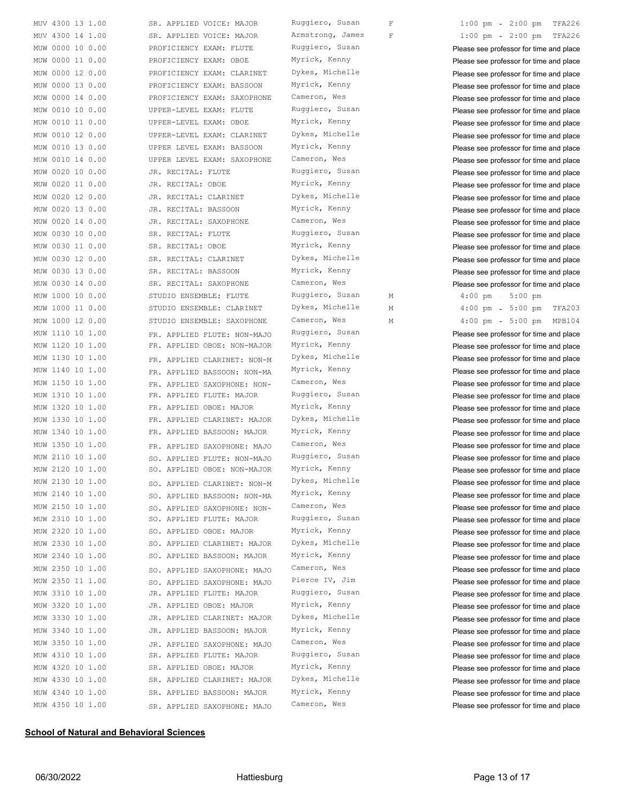| MUV 4300 13 1.00    | SR. APPLIED VOICE: MAJOR    | Ruggiero, Susan  | $\mathbf F$ | TFA226<br>$1:00$ pm<br>$2:00$ pm                |
|---------------------|-----------------------------|------------------|-------------|-------------------------------------------------|
| MUV 4300 14 1.00    | SR. APPLIED VOICE: MAJOR    | Armstrong, James | $\mathbf F$ | $1:00$ pm<br>$2:00$ pm<br>TFA226                |
| MUW 0000 10 0.00    | PROFICIENCY EXAM: FLUTE     | Ruggiero, Susan  |             | Please see professor for time and place         |
| 0000 11 0.00<br>MUW | PROFICIENCY EXAM: OBOE      | Myrick, Kenny    |             | Please see professor for time and place         |
| 0000 12 0.00<br>MUW | PROFICIENCY EXAM: CLARINET  | Dykes, Michelle  |             | Please see professor for time and place         |
| 0000 13 0.00<br>MUW | PROFICIENCY EXAM: BASSOON   | Myrick, Kenny    |             | Please see professor for time and place         |
| MUW 0000 14 0.00    | PROFICIENCY EXAM: SAXOPHONE | Cameron, Wes     |             | Please see professor for time and place         |
| MUW 0010 10 0.00    | UPPER-LEVEL EXAM: FLUTE     | Ruggiero, Susan  |             | Please see professor for time and place         |
| MUW 0010 11 0.00    | UPPER-LEVEL EXAM: OBOE      | Myrick, Kenny    |             | Please see professor for time and place         |
| 0010 12 0.00<br>MUW | UPPER-LEVEL EXAM: CLARINET  | Dykes, Michelle  |             | Please see professor for time and place         |
| 0010 13 0.00<br>MUW | UPPER LEVEL EXAM: BASSOON   | Myrick, Kenny    |             | Please see professor for time and place         |
| 0010 14 0.00<br>MUW | UPPER LEVEL EXAM: SAXOPHONE | Cameron, Wes     |             | Please see professor for time and place         |
| 0020 10 0.00<br>MUW | JR. RECITAL: FLUTE          | Ruggiero, Susan  |             | Please see professor for time and place         |
| 0020 11 0.00<br>MUW | JR. RECITAL: OBOE           | Myrick, Kenny    |             | Please see professor for time and place         |
| 0020 12 0.00<br>MUW | JR. RECITAL: CLARINET       | Dykes, Michelle  |             | Please see professor for time and place         |
| 0020 13 0.00<br>MUW | JR. RECITAL: BASSOON        | Myrick, Kenny    |             | Please see professor for time and place         |
| 0020 14 0.00<br>MUW | JR. RECITAL: SAXOPHONE      | Cameron, Wes     |             | Please see professor for time and place         |
| 0030 10 0.00<br>MUW | SR. RECITAL: FLUTE          | Ruggiero, Susan  |             | Please see professor for time and place         |
| MUW 0030 11 0.00    | SR. RECITAL: OBOE           | Myrick, Kenny    |             | Please see professor for time and place         |
| MUW 0030 12 0.00    | SR. RECITAL: CLARINET       | Dykes, Michelle  |             | Please see professor for time and place         |
| MUW 0030 13 0.00    | SR. RECITAL: BASSOON        | Myrick, Kenny    |             |                                                 |
|                     |                             | Cameron, Wes     |             | Please see professor for time and place         |
| MUW 0030 14 0.00    | SR. RECITAL: SAXOPHONE      | Ruggiero, Susan  |             | Please see professor for time and place         |
| MUW 1000 10 0.00    | STUDIO ENSEMBLE: FLUTE      |                  | М           | $4:00$ pm<br>$5:00$ pm                          |
| MUW 1000 11 0.00    | STUDIO ENSEMBLE: CLARINET   | Dykes, Michelle  | М           | TFA203<br>$4:00 \text{ pm } - 5:00 \text{ pm }$ |
| MUW 1000 12 0.00    | STUDIO ENSEMBLE: SAXOPHONE  | Cameron, Wes     | М           | $4:00$ pm<br>5:00 pm MPB104                     |
| MUW 1110 10 1.00    | FR. APPLIED FLUTE: NON-MAJO | Ruggiero, Susan  |             | Please see professor for time and place         |
| MUW 1120 10 1.00    | FR. APPLIED OBOE: NON-MAJOR | Myrick, Kenny    |             | Please see professor for time and place         |
| MUW 1130 10 1.00    | FR. APPLIED CLARINET: NON-M | Dykes, Michelle  |             | Please see professor for time and place         |
| MUW 1140 10 1.00    | FR. APPLIED BASSOON: NON-MA | Myrick, Kenny    |             | Please see professor for time and place         |
| MUW 1150 10 1.00    | FR. APPLIED SAXOPHONE: NON- | Cameron, Wes     |             | Please see professor for time and place         |
| MUW 1310 10 1.00    | FR. APPLIED FLUTE: MAJOR    | Ruggiero, Susan  |             | Please see professor for time and place         |
| MUW 1320 10 1.00    | FR. APPLIED OBOE: MAJOR     | Myrick, Kenny    |             | Please see professor for time and place         |
| MUW 1330 10 1.00    | FR. APPLIED CLARINET: MAJOR | Dykes, Michelle  |             | Please see professor for time and place         |
| MUW 1340 10 1.00    | FR. APPLIED BASSOON: MAJOR  | Myrick, Kenny    |             | Please see professor for time and place         |
| MUW 1350 10 1.00    | FR. APPLIED SAXOPHONE: MAJO | Cameron, Wes     |             | Please see professor for time and place         |
| MUW 2110 10 1.00    | SO. APPLIED FLUTE: NON-MAJO | Ruggiero, Susan  |             | Please see professor for time and place         |
| MUW 2120 10 1.00    | SO. APPLIED OBOE: NON-MAJOR | Myrick, Kenny    |             | Please see professor for time and place         |
| MUW 2130 10 1.00    | SO. APPLIED CLARINET: NON-M | Dykes, Michelle  |             | Please see professor for time and place         |
| MUW 2140 10 1.00    | SO. APPLIED BASSOON: NON-MA | Myrick, Kenny    |             | Please see professor for time and place         |
| MUW 2150 10 1.00    | SO. APPLIED SAXOPHONE: NON- | Cameron, Wes     |             | Please see professor for time and place         |
| MUW 2310 10 1.00    | SO. APPLIED FLUTE: MAJOR    | Ruggiero, Susan  |             | Please see professor for time and place         |
| MUW 2320 10 1.00    | SO. APPLIED OBOE: MAJOR     | Myrick, Kenny    |             | Please see professor for time and place         |
| MUW 2330 10 1.00    | SO. APPLIED CLARINET: MAJOR | Dykes, Michelle  |             | Please see professor for time and place         |
| MUW 2340 10 1.00    | SO. APPLIED BASSOON: MAJOR  | Myrick, Kenny    |             | Please see professor for time and place         |
| MUW 2350 10 1.00    | SO. APPLIED SAXOPHONE: MAJO | Cameron, Wes     |             | Please see professor for time and place         |
| MUW 2350 11 1.00    | SO. APPLIED SAXOPHONE: MAJO | Pierce IV, Jim   |             | Please see professor for time and place         |
| MUW 3310 10 1.00    | JR. APPLIED FLUTE: MAJOR    | Ruggiero, Susan  |             | Please see professor for time and place         |
| MUW 3320 10 1.00    | JR. APPLIED OBOE: MAJOR     | Myrick, Kenny    |             | Please see professor for time and place         |
| MUW 3330 10 1.00    | JR. APPLIED CLARINET: MAJOR | Dykes, Michelle  |             |                                                 |
| MUW 3340 10 1.00    | JR. APPLIED BASSOON: MAJOR  | Myrick, Kenny    |             | Please see professor for time and place         |
|                     |                             | Cameron, Wes     |             | Please see professor for time and place         |
| MUW 3350 10 1.00    | JR. APPLIED SAXOPHONE: MAJO | Ruggiero, Susan  |             | Please see professor for time and place         |
| MUW 4310 10 1.00    | SR. APPLIED FLUTE: MAJOR    |                  |             | Please see professor for time and place         |
| MUW 4320 10 1.00    | SR. APPLIED OBOE: MAJOR     | Myrick, Kenny    |             | Please see professor for time and place         |
| MUW 4330 10 1.00    | SR. APPLIED CLARINET: MAJOR | Dykes, Michelle  |             | Please see professor for time and place         |
| MUW 4340 10 1.00    | SR. APPLIED BASSOON: MAJOR  | Myrick, Kenny    |             | Please see professor for time and place         |
| MUW 4350 10 1.00    | SR. APPLIED SAXOPHONE: MAJO | Cameron, Wes     |             | Please see professor for time and place         |

## **School of Natural and Behavioral Sciences**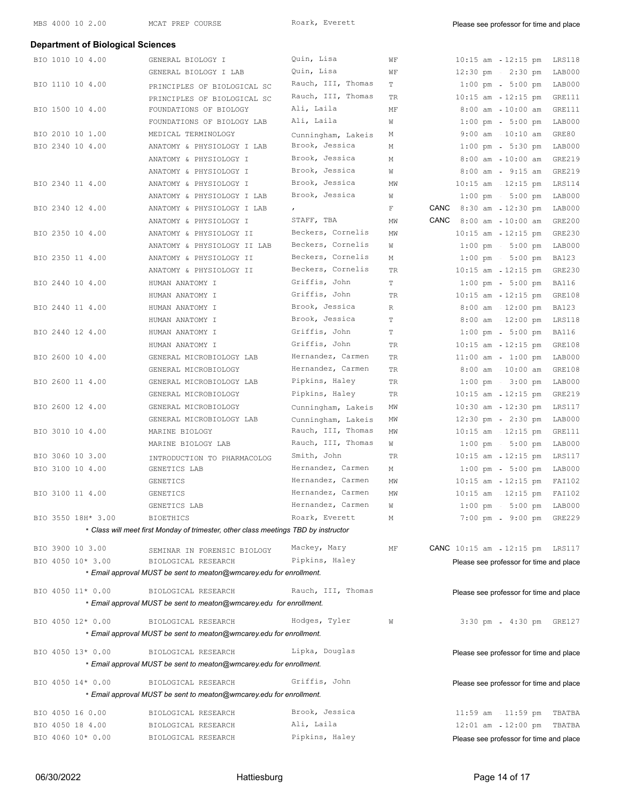## **Department of Biological Sciences** BIO 1010 10 4.00 GENERAL BIOLOGY I Quin, Lisa WF 10:15 am - 12:15 pm LRS118 GENERAL BIOLOGY I LAB  $Quin$ , Lisa WF 12:30 pm 2:30 pm LAB000 BIO 1110 10 4.00 PRINCIPLES OF BIOLOGICAL SC Rauch, III, Thomas T 1:00 pm - 5:00 pm LAB000 PRINCIPLES OF BIOLOGICAL SC Rauch, III, Thomas TR 10:15 am - 12:15 pm GRE111<br>FOUNDATIONS OF BIOLOGY Ali, Laila MF 8:00 am 10:00 am GRE111 BIO 1500 10 4.00 FOUNDATIONS OF BIOLOGY Ali, Laila MF 8:00 am 10:00 am GRE111 FOUNDATIONS OF BIOLOGY LAB Ali, Laila W 1:00 pm - 5:00 pm LAB000 BIO 2010 10 1.00 MEDICAL TERMINOLOGY Cunningham, Lakeis M 9:00 am - 10:10 am GRE80 BIO 2340 10 4.00 ANATOMY & PHYSIOLOGY I LAB Brook, Jessica M 1:00 pm 5:30 pm LAB000 ANATOMY & PHYSIOLOGY I Brook, Jessica M 8:00 am - 10:00 am GRE219 ANATOMY & PHYSIOLOGY I Brook, Jessica W 8:00 am - 9:15 am GRE219 BIO 2340 11 4.00 ANATOMY & PHYSIOLOGY I Brook, Jessica MW 10:15 am 12:15 pm LRS114 ANATOMY & PHYSIOLOGY I LAB Brook, Jessica W 1:00 pm - 5:00 pm LAB000 BIO 2340 12 4.00 ANATOMY & PHYSIOLOGY I LAB , The Manus of Revenue of Revenue of Raboot And AB000 ANATOMY & PHYSIOLOGY I STAFF, TBA MW CANC 8:00 am 10:00 am GRE200 BIO 2350 10 4.00 ANATOMY & PHYSIOLOGY II Beckers, Cornelis MW 10:15 am - 12:15 pm GRE230 ANATOMY & PHYSIOLOGY II LAB Beckers, Cornelis W 1:00 pm - 5:00 pm LAB000 BIO 2350 11 4.00 ANATOMY & PHYSIOLOGY II Beckers, Cornelis M 1:00 pm - 5:00 pm BA123 ANATOMY & PHYSIOLOGY II Beckers, Cornelis TR 10:15 am - 12:15 pm GRE230 BIO 2440 10 4.00 HUMAN ANATOMY I Griffis, John T 1:00 pm - 5:00 pm BA116 HUMAN ANATOMY I Griffis, John TR 10:15 am 12:15 pm GRE108 BIO 2440 11 4.00 HUMAN ANATOMY I Brook, Jessica R 8:00 am - 12:00 pm BA123 HUMAN ANATOMY I Brook, Jessica T 8:00 am - 12:00 pm LRS118 BIO 2440 12 4.00 HUMAN ANATOMY I Griffis, John T 1:00 pm - 5:00 pm BA116 HUMAN ANATOMY I Griffis, John TR 10:15 am - 12:15 pm GRE108 BIO 2600 10 4.00 GENERAL MICROBIOLOGY LAB Hernandez, Carmen TR 11:00 am - 1:00 pm LAB000 GENERAL MICROBIOLOGY Flernandez, Carmen TR 8:00 am 10:00 am GRE108 BIO 2600 11 4.00 GENERAL MICROBIOLOGY LAB Pipkins, Haley TR 1:00 pm - 3:00 pm LAB000 GENERAL MICROBIOLOGY Pipkins, Haley TR 10:15 am - 12:15 pm GRE219 BIO 2600 12 4.00 GENERAL MICROBIOLOGY Cunningham, Lakeis MW 10:30 am 12:30 pm LRS117 GENERAL MICROBIOLOGY LAB Cunningham, Lakeis MW 12:30 pm - 2:30 pm LAB000 BIO 3010 10 4.00 MARINE BIOLOGY Rauch, III, Thomas MW 10:15 am - 12:15 pm GRE111 MARINE BIOLOGY LAB Rauch, III, Thomas W 1:00 pm 5:00 pm LAB000 BIO 3060 10 3.00 INTRODUCTION TO PHARMACOLOG Smith, John TR 10:15 am - 12:15 pm LRS117 BIO 3100 10 4.00 GENETICS LAB Hernandez, Carmen M 1:00 pm - 5:00 pm LAB000 GENETICS Hernandez, Carmen MW 10:15 am 12:15 pm FAI102 BIO 3100 11 4.00 GENETICS Hernandez, Carmen MW 10:15 am - 12:15 pm FAI102 GENETICS LAB Hernandez, Carmen W 1:00 pm - 5:00 pm LAB000 BIO 3550 18H\* 3.00 BIOETHICS ROATK, Everett M 7:00 pm 9:00 pm GRE229 \* *Class will meet first Monday of trimester, other class meetings TBD by instructor* BIO 3900 10 3.00 SEMINAR IN FORENSIC BIOLOGY Mackey, Mary MF **CANC** 10:15 am 12:15 pm LRS117<br>BIO 4050 10\* 3.00 BIOLOGICAL RESEARCH Pipkins, Haley **Please see professor for time and place** BIO 4050 10\* 3.00 BIOLOGICAL RESEARCH Pipkins, Haley Please see professor for time and place \* *Email approval MUST be sent to meaton@wmcarey.edu for enrollment.* BIO 4050 11\* 0.00 BIOLOGICAL RESEARCH RAuch, III, Thomas Please see professor for time and place \* *Email approval MUST be sent to meaton@wmcarey.edu for enrollment.* BIO 4050 12\* 0.00 BIOLOGICAL RESEARCH Hodges, Tyler W 3:30 pm 4:30 pm GRE127 \* *Email approval MUST be sent to meaton@wmcarey.edu for enrollment.* BIO 4050 13\* 0.00 BIOLOGICAL RESEARCH Lipka, Douglas Please see professor for time and place \* *Email approval MUST be sent to meaton@wmcarey.edu for enrollment.* BIO 4050 14\* 0.00 BIOLOGICAL RESEARCH Griffis, John Please see professor for time and place \* *Email approval MUST be sent to meaton@wmcarey.edu for enrollment.* BIO 4050 16 0.00 BIOLOGICAL RESEARCH Brook, Jessica 11:59 am - 11:59 pm TBATBA BIO 4050 18 4.00 BIOLOGICAL RESEARCH Ali, Laila 12:01 am 12:00 pm TBATBA BIO 4060 10\* 0.00 BIOLOGICAL RESEARCH Pipkins, Haley Please see professor for time and place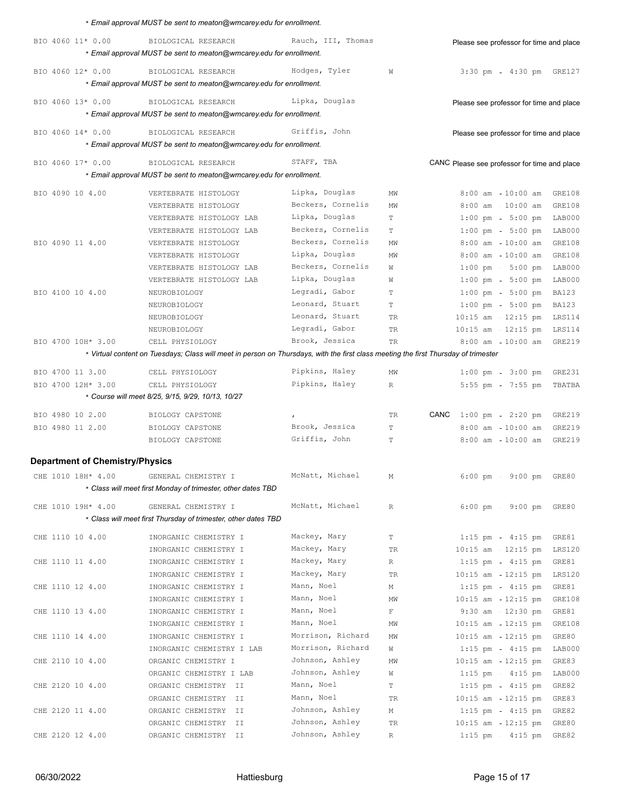|                                        | * Email approval MUST be sent to meaton@wmcarey.edu for enrollment.                                                                 |                    |             |                                                         |
|----------------------------------------|-------------------------------------------------------------------------------------------------------------------------------------|--------------------|-------------|---------------------------------------------------------|
| BIO 4060 11* 0.00                      | BIOLOGICAL RESEARCH<br>* Email approval MUST be sent to meaton@wmcarey.edu for enrollment.                                          | Rauch, III, Thomas |             | Please see professor for time and place                 |
| BIO 4060 12* 0.00                      | BIOLOGICAL RESEARCH<br>* Email approval MUST be sent to meaton@wmcarey.edu for enrollment.                                          | Hodges, Tyler      | W           | $3:30$ pm<br>4:30 pm GRE127                             |
| BIO 4060 13* 0.00                      | BIOLOGICAL RESEARCH                                                                                                                 | Lipka, Douglas     |             |                                                         |
|                                        | * Email approval MUST be sent to meaton@wmcarey.edu for enrollment.                                                                 |                    |             | Please see professor for time and place                 |
|                                        |                                                                                                                                     |                    |             |                                                         |
| BIO 4060 14* 0.00                      | BIOLOGICAL RESEARCH<br>* Email approval MUST be sent to meaton@wmcarey.edu for enrollment.                                          | Griffis, John      |             | Please see professor for time and place                 |
| BIO 4060 17* 0.00                      | BIOLOGICAL RESEARCH                                                                                                                 | STAFF, TBA         |             | CANC Please see professor for time and place            |
|                                        | * Email approval MUST be sent to meaton@wmcarey.edu for enrollment.                                                                 |                    |             |                                                         |
| BIO 4090 10 4.00                       | VERTEBRATE HISTOLOGY                                                                                                                | Lipka, Douglas     | ΜW          | $8:00$ am $-10:00$ am<br>GRE108                         |
|                                        | VERTEBRATE HISTOLOGY                                                                                                                | Beckers, Cornelis  | MW          | 8:00 am 10:00 am<br>GRE108                              |
|                                        | VERTEBRATE HISTOLOGY LAB                                                                                                            | Lipka, Douglas     | T           | $1:00 \text{ pm } -5:00 \text{ pm }$<br>LAB000          |
|                                        | VERTEBRATE HISTOLOGY LAB                                                                                                            | Beckers, Cornelis  | T           | $1:00 \text{ pm } - 5:00 \text{ pm }$<br>LAB000         |
| BIO 4090 11 4.00                       | VERTEBRATE HISTOLOGY                                                                                                                | Beckers, Cornelis  | MW          | $10:00$ am<br>$8:00$ am<br>GRE108                       |
|                                        | VERTEBRATE HISTOLOGY                                                                                                                | Lipka, Douglas     | MW          | $8:00$ am $-10:00$ am<br>GRE108                         |
|                                        | VERTEBRATE HISTOLOGY LAB                                                                                                            | Beckers, Cornelis  | W           | $1:00 \text{ pm } -5:00 \text{ pm }$<br>LAB000          |
|                                        | VERTEBRATE HISTOLOGY LAB                                                                                                            | Lipka, Douglas     | W           | $1:00$ pm<br>$5:00$ pm<br>LAB000                        |
| BIO 4100 10 4.00                       | NEUROBIOLOGY                                                                                                                        | Legradi, Gabor     | T           | $1:00 \text{ pm } -5:00 \text{ pm }$<br><b>BA123</b>    |
|                                        | NEUROBIOLOGY                                                                                                                        | Leonard, Stuart    | T           | $1:00 \text{ pm } - 5:00 \text{ pm }$<br><b>BA123</b>   |
|                                        | NEUROBIOLOGY                                                                                                                        | Leonard, Stuart    | <b>TR</b>   | $10:15$ am $12:15$ pm<br>LRS114                         |
|                                        | NEUROBIOLOGY                                                                                                                        | Legradi, Gabor     | TR          | $10:15$ am $-12:15$ pm<br>LRS114                        |
| BIO 4700 10H* 3.00                     | CELL PHYSIOLOGY                                                                                                                     | Brook, Jessica     | TR          | $8:00$ am $-10:00$ am<br>GRE219                         |
|                                        | * Virtual content on Tuesdays; Class will meet in person on Thursdays, with the first class meeting the first Thursday of trimester |                    |             |                                                         |
| BIO 4700 11 3.00                       | CELL PHYSIOLOGY                                                                                                                     | Pipkins, Haley     | ΜW          | $1:00 \text{ pm } - 3:00 \text{ pm }$<br>GRE231         |
| BIO 4700 12H* 3.00                     | CELL PHYSIOLOGY                                                                                                                     | Pipkins, Haley     | $\mathbb R$ | $5:55$ pm<br>$7:55$ pm<br>TBATBA                        |
|                                        | * Course will meet 8/25, 9/15, 9/29, 10/13, 10/27                                                                                   |                    |             |                                                         |
|                                        |                                                                                                                                     |                    |             |                                                         |
| BIO 4980 10 2.00                       | BIOLOGY CAPSTONE                                                                                                                    |                    | TR.         | CANC<br>$1:00 \text{ pm } - 2:20 \text{ pm }$<br>GRE219 |
| BIO 4980 11 2.00                       | BIOLOGY CAPSTONE                                                                                                                    | Brook, Jessica     | T           | $8:00$ am<br>$10:00$ am<br>GRE219                       |
|                                        | BIOLOGY CAPSTONE                                                                                                                    | Griffis, John      | Т           | $8:00$ am $-10:00$ am<br><b>GRE219</b>                  |
| <b>Department of Chemistry/Physics</b> |                                                                                                                                     |                    |             |                                                         |
|                                        |                                                                                                                                     | McNatt, Michael    |             |                                                         |
| CHE 1010 18H* 4.00                     | GENERAL CHEMISTRY I<br>* Class will meet first Monday of trimester, other dates TBD                                                 |                    | М           | $6:00 \text{ pm}$<br>9:00 pm GRE80                      |
|                                        |                                                                                                                                     |                    |             |                                                         |
| CHE 1010 19H* 4.00                     | GENERAL CHEMISTRY I                                                                                                                 | McNatt, Michael    | R           | $6:00$ pm<br>9:00 pm GRE80                              |
|                                        | * Class will meet first Thursday of trimester, other dates TBD                                                                      |                    |             |                                                         |
| CHE 1110 10 4.00                       | INORGANIC CHEMISTRY I                                                                                                               | Mackey, Mary       | Т           | $1:15$ pm<br>$4:15$ pm<br>GRE81                         |
|                                        | INORGANIC CHEMISTRY I                                                                                                               | Mackey, Mary       | TR          | $10:15$ am $-12:15$ pm<br><b>LRS120</b>                 |
| CHE 1110 11 4.00                       | INORGANIC CHEMISTRY I                                                                                                               | Mackey, Mary       | R           | $1:15$ pm - $4:15$ pm<br>GRE81                          |
|                                        | INORGANIC CHEMISTRY I                                                                                                               | Mackey, Mary       | TR          | $10:15$ am $12:15$ pm<br>LRS120                         |
| CHE 1110 12 4.00                       | INORGANIC CHEMISTRY I                                                                                                               | Mann, Noel         | Μ           | $1:15$ pm - $4:15$ pm<br>GRE81                          |
|                                        | INORGANIC CHEMISTRY I                                                                                                               | Mann, Noel         | ΜW          | $10:15$ am $-12:15$ pm<br>GRE108                        |
| CHE 1110 13 4.00                       | INORGANIC CHEMISTRY I                                                                                                               | Mann, Noel         | $\mathbb F$ | $9:30$ am $12:30$ pm<br>GRE81                           |
|                                        | INORGANIC CHEMISTRY I                                                                                                               | Mann, Noel         | ΜW          | $10:15$ am $-12:15$ pm<br>GRE108                        |
| CHE 1110 14 4.00                       | INORGANIC CHEMISTRY I                                                                                                               | Morrison, Richard  | ΜW          | $10:15$ am $-12:15$ pm<br>GRE80                         |
|                                        | INORGANIC CHEMISTRY I LAB                                                                                                           | Morrison, Richard  | W           | $1:15$ pm<br>$4:15$ pm<br>LAB000                        |
| CHE 2110 10 4.00                       | ORGANIC CHEMISTRY I                                                                                                                 | Johnson, Ashley    | ΜW          | $10:15$ am $-12:15$ pm<br>GRE83                         |
|                                        | ORGANIC CHEMISTRY I LAB                                                                                                             | Johnson, Ashley    | W           | $1:15$ pm - $4:15$ pm<br>LAB000                         |
| CHE 2120 10 4.00                       | ORGANIC CHEMISTRY II                                                                                                                | Mann, Noel         | Т           | $1:15$ pm<br>$4:15$ pm<br>GRE82                         |
|                                        | ORGANIC CHEMISTRY II                                                                                                                | Mann, Noel         | TR          | $10:15$ am $-12:15$ pm<br>GRE83                         |
| CHE 2120 11 4.00                       | ORGANIC CHEMISTRY II                                                                                                                | Johnson, Ashley    | Μ           | $1:15$ pm - $4:15$ pm<br>GRE82                          |
|                                        | ORGANIC CHEMISTRY II                                                                                                                | Johnson, Ashley    | TR          | $10:15$ am $12:15$ pm<br>GRE80                          |
| CHE 2120 12 4.00                       | ORGANIC CHEMISTRY II                                                                                                                | Johnson, Ashley    | R           | 1:15 pm - 4:15 pm GRE82                                 |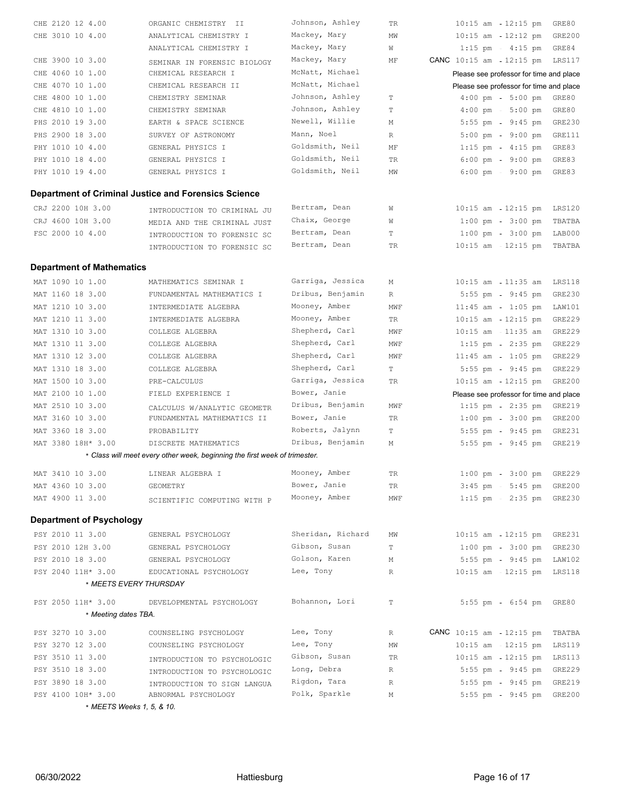|                                                      | Johnson, Ashley                                                                                                                                                                                                                                                                                                                                                                                              |                                                                                                                                                                                                                           |                                                |                                                                                                                                                                                                                                                                                                                                                                                                                                                                      |
|------------------------------------------------------|--------------------------------------------------------------------------------------------------------------------------------------------------------------------------------------------------------------------------------------------------------------------------------------------------------------------------------------------------------------------------------------------------------------|---------------------------------------------------------------------------------------------------------------------------------------------------------------------------------------------------------------------------|------------------------------------------------|----------------------------------------------------------------------------------------------------------------------------------------------------------------------------------------------------------------------------------------------------------------------------------------------------------------------------------------------------------------------------------------------------------------------------------------------------------------------|
|                                                      |                                                                                                                                                                                                                                                                                                                                                                                                              |                                                                                                                                                                                                                           |                                                | <b>GRE200</b>                                                                                                                                                                                                                                                                                                                                                                                                                                                        |
|                                                      | Mackey, Mary                                                                                                                                                                                                                                                                                                                                                                                                 | W                                                                                                                                                                                                                         | GRE84                                          |                                                                                                                                                                                                                                                                                                                                                                                                                                                                      |
|                                                      | Mackey, Mary                                                                                                                                                                                                                                                                                                                                                                                                 | ΜF                                                                                                                                                                                                                        |                                                | LRS117                                                                                                                                                                                                                                                                                                                                                                                                                                                               |
|                                                      | McNatt, Michael                                                                                                                                                                                                                                                                                                                                                                                              |                                                                                                                                                                                                                           |                                                |                                                                                                                                                                                                                                                                                                                                                                                                                                                                      |
|                                                      | McNatt, Michael                                                                                                                                                                                                                                                                                                                                                                                              |                                                                                                                                                                                                                           |                                                |                                                                                                                                                                                                                                                                                                                                                                                                                                                                      |
|                                                      |                                                                                                                                                                                                                                                                                                                                                                                                              |                                                                                                                                                                                                                           |                                                |                                                                                                                                                                                                                                                                                                                                                                                                                                                                      |
|                                                      |                                                                                                                                                                                                                                                                                                                                                                                                              |                                                                                                                                                                                                                           |                                                |                                                                                                                                                                                                                                                                                                                                                                                                                                                                      |
|                                                      |                                                                                                                                                                                                                                                                                                                                                                                                              |                                                                                                                                                                                                                           |                                                | <b>GRE230</b>                                                                                                                                                                                                                                                                                                                                                                                                                                                        |
|                                                      |                                                                                                                                                                                                                                                                                                                                                                                                              |                                                                                                                                                                                                                           |                                                | GRE111                                                                                                                                                                                                                                                                                                                                                                                                                                                               |
|                                                      |                                                                                                                                                                                                                                                                                                                                                                                                              |                                                                                                                                                                                                                           |                                                |                                                                                                                                                                                                                                                                                                                                                                                                                                                                      |
|                                                      |                                                                                                                                                                                                                                                                                                                                                                                                              |                                                                                                                                                                                                                           |                                                |                                                                                                                                                                                                                                                                                                                                                                                                                                                                      |
|                                                      |                                                                                                                                                                                                                                                                                                                                                                                                              |                                                                                                                                                                                                                           |                                                |                                                                                                                                                                                                                                                                                                                                                                                                                                                                      |
|                                                      |                                                                                                                                                                                                                                                                                                                                                                                                              |                                                                                                                                                                                                                           |                                                |                                                                                                                                                                                                                                                                                                                                                                                                                                                                      |
| Department of Criminal Justice and Forensics Science |                                                                                                                                                                                                                                                                                                                                                                                                              |                                                                                                                                                                                                                           |                                                |                                                                                                                                                                                                                                                                                                                                                                                                                                                                      |
|                                                      | Bertram, Dean                                                                                                                                                                                                                                                                                                                                                                                                | W                                                                                                                                                                                                                         | $10:15$ am $-12:15$ pm                         | LRS120                                                                                                                                                                                                                                                                                                                                                                                                                                                               |
|                                                      | Chaix, George                                                                                                                                                                                                                                                                                                                                                                                                | W                                                                                                                                                                                                                         | $3:00$ pm<br>$1:00$ pm                         | TBATBA                                                                                                                                                                                                                                                                                                                                                                                                                                                               |
|                                                      | Bertram, Dean                                                                                                                                                                                                                                                                                                                                                                                                | Т                                                                                                                                                                                                                         | $1:00 \text{ pm } - 3:00 \text{ pm }$          | LAB000                                                                                                                                                                                                                                                                                                                                                                                                                                                               |
| INTRODUCTION TO FORENSIC SC                          | Bertram, Dean                                                                                                                                                                                                                                                                                                                                                                                                | TR                                                                                                                                                                                                                        | $10:15$ am $-12:15$ pm                         | TBATBA                                                                                                                                                                                                                                                                                                                                                                                                                                                               |
|                                                      |                                                                                                                                                                                                                                                                                                                                                                                                              |                                                                                                                                                                                                                           |                                                |                                                                                                                                                                                                                                                                                                                                                                                                                                                                      |
| <b>Department of Mathematics</b>                     |                                                                                                                                                                                                                                                                                                                                                                                                              |                                                                                                                                                                                                                           |                                                |                                                                                                                                                                                                                                                                                                                                                                                                                                                                      |
| MATHEMATICS SEMINAR I                                | Garriga, Jessica                                                                                                                                                                                                                                                                                                                                                                                             | М                                                                                                                                                                                                                         | $10:15$ am $-11:35$ am                         | LRS118                                                                                                                                                                                                                                                                                                                                                                                                                                                               |
| FUNDAMENTAL MATHEMATICS I                            | Dribus, Benjamin                                                                                                                                                                                                                                                                                                                                                                                             | R                                                                                                                                                                                                                         | $9:45$ pm<br>$5:55$ pm                         | <b>GRE230</b>                                                                                                                                                                                                                                                                                                                                                                                                                                                        |
| INTERMEDIATE ALGEBRA                                 | Mooney, Amber                                                                                                                                                                                                                                                                                                                                                                                                | MWF                                                                                                                                                                                                                       | $11:45$ am<br>$1:05$ pm                        | LAW101                                                                                                                                                                                                                                                                                                                                                                                                                                                               |
| INTERMEDIATE ALGEBRA                                 | Mooney, Amber                                                                                                                                                                                                                                                                                                                                                                                                | TR                                                                                                                                                                                                                        | $10:15$ am $-12:15$ pm                         | <b>GRE229</b>                                                                                                                                                                                                                                                                                                                                                                                                                                                        |
| COLLEGE ALGEBRA                                      | Shepherd, Carl                                                                                                                                                                                                                                                                                                                                                                                               | MWF                                                                                                                                                                                                                       | $11:35$ am<br>$10:15$ am                       | GRE229                                                                                                                                                                                                                                                                                                                                                                                                                                                               |
| COLLEGE ALGEBRA                                      | Shepherd, Carl                                                                                                                                                                                                                                                                                                                                                                                               | MWF                                                                                                                                                                                                                       | $2:35$ pm<br>$1:15$ pm                         | GRE229                                                                                                                                                                                                                                                                                                                                                                                                                                                               |
| COLLEGE ALGEBRA                                      | Shepherd, Carl                                                                                                                                                                                                                                                                                                                                                                                               | MWF                                                                                                                                                                                                                       | $11:45$ am - $1:05$ pm                         | GRE229                                                                                                                                                                                                                                                                                                                                                                                                                                                               |
| COLLEGE ALGEBRA                                      | Shepherd, Carl                                                                                                                                                                                                                                                                                                                                                                                               | Т                                                                                                                                                                                                                         | $9:45$ pm<br>$5:55$ pm                         | GRE229                                                                                                                                                                                                                                                                                                                                                                                                                                                               |
| PRE-CALCULUS                                         | Garriga, Jessica                                                                                                                                                                                                                                                                                                                                                                                             | TR                                                                                                                                                                                                                        | $10:15$ am<br>$12:15$ pm                       | <b>GRE200</b>                                                                                                                                                                                                                                                                                                                                                                                                                                                        |
| FIELD EXPERIENCE I                                   | Bower, Janie                                                                                                                                                                                                                                                                                                                                                                                                 |                                                                                                                                                                                                                           | Please see professor for time and place        |                                                                                                                                                                                                                                                                                                                                                                                                                                                                      |
| CALCULUS W/ANALYTIC GEOMETR                          | Dribus, Benjamin                                                                                                                                                                                                                                                                                                                                                                                             | MWF                                                                                                                                                                                                                       | $2:35$ pm<br>$1:15$ pm                         | GRE219                                                                                                                                                                                                                                                                                                                                                                                                                                                               |
| FUNDAMENTAL MATHEMATICS II                           | Bower, Janie                                                                                                                                                                                                                                                                                                                                                                                                 | TR                                                                                                                                                                                                                        | $3:00$ pm<br>$1:00$ pm                         | <b>GRE200</b>                                                                                                                                                                                                                                                                                                                                                                                                                                                        |
| PROBABILITY                                          | Roberts, Jalynn                                                                                                                                                                                                                                                                                                                                                                                              | Т                                                                                                                                                                                                                         | 5:55 pm - 9:45 pm                              | GRE231                                                                                                                                                                                                                                                                                                                                                                                                                                                               |
| DISCRETE MATHEMATICS                                 | Dribus, Benjamin                                                                                                                                                                                                                                                                                                                                                                                             | М                                                                                                                                                                                                                         | $5:55$ pm<br>$9:45$ pm                         | GRE219                                                                                                                                                                                                                                                                                                                                                                                                                                                               |
|                                                      |                                                                                                                                                                                                                                                                                                                                                                                                              |                                                                                                                                                                                                                           |                                                |                                                                                                                                                                                                                                                                                                                                                                                                                                                                      |
|                                                      | Mooney, Amber                                                                                                                                                                                                                                                                                                                                                                                                | TR                                                                                                                                                                                                                        | $1:00 \text{ pm } - 3:00 \text{ pm }$          | <b>GRE229</b>                                                                                                                                                                                                                                                                                                                                                                                                                                                        |
|                                                      |                                                                                                                                                                                                                                                                                                                                                                                                              |                                                                                                                                                                                                                           |                                                |                                                                                                                                                                                                                                                                                                                                                                                                                                                                      |
| LINEAR ALGEBRA I<br>GEOMETRY                         | Bower, Janie                                                                                                                                                                                                                                                                                                                                                                                                 | TR.                                                                                                                                                                                                                       | $5:45$ pm                                      | GRE200                                                                                                                                                                                                                                                                                                                                                                                                                                                               |
|                                                      | Mooney, Amber                                                                                                                                                                                                                                                                                                                                                                                                | MWF                                                                                                                                                                                                                       | $3:45$ pm<br>$1:15$ pm - $2:35$ pm             | GRE230                                                                                                                                                                                                                                                                                                                                                                                                                                                               |
| SCIENTIFIC COMPUTING WITH P                          |                                                                                                                                                                                                                                                                                                                                                                                                              |                                                                                                                                                                                                                           |                                                |                                                                                                                                                                                                                                                                                                                                                                                                                                                                      |
| <b>Department of Psychology</b>                      |                                                                                                                                                                                                                                                                                                                                                                                                              |                                                                                                                                                                                                                           |                                                |                                                                                                                                                                                                                                                                                                                                                                                                                                                                      |
| GENERAL PSYCHOLOGY                                   | Sheridan, Richard                                                                                                                                                                                                                                                                                                                                                                                            | ΜW                                                                                                                                                                                                                        | $10:15$ am $12:15$ pm                          | GRE231                                                                                                                                                                                                                                                                                                                                                                                                                                                               |
| GENERAL PSYCHOLOGY                                   | Gibson, Susan                                                                                                                                                                                                                                                                                                                                                                                                | Т                                                                                                                                                                                                                         | $1:00 \text{ pm } - 3:00 \text{ pm }$          | GRE230                                                                                                                                                                                                                                                                                                                                                                                                                                                               |
| GENERAL PSYCHOLOGY                                   | Golson, Karen                                                                                                                                                                                                                                                                                                                                                                                                | М                                                                                                                                                                                                                         | $5:55$ pm<br>$9:45$ pm                         | LAW102                                                                                                                                                                                                                                                                                                                                                                                                                                                               |
| EDUCATIONAL PSYCHOLOGY                               | Lee, Tony                                                                                                                                                                                                                                                                                                                                                                                                    | R                                                                                                                                                                                                                         | $10:15$ am<br>12:15 pm LRS118                  |                                                                                                                                                                                                                                                                                                                                                                                                                                                                      |
| * MEETS EVERY THURSDAY                               |                                                                                                                                                                                                                                                                                                                                                                                                              |                                                                                                                                                                                                                           |                                                |                                                                                                                                                                                                                                                                                                                                                                                                                                                                      |
|                                                      | Bohannon, Lori                                                                                                                                                                                                                                                                                                                                                                                               | T                                                                                                                                                                                                                         |                                                |                                                                                                                                                                                                                                                                                                                                                                                                                                                                      |
| DEVELOPMENTAL PSYCHOLOGY                             |                                                                                                                                                                                                                                                                                                                                                                                                              |                                                                                                                                                                                                                           | $5:55$ pm<br>6:54 pm GRE80                     |                                                                                                                                                                                                                                                                                                                                                                                                                                                                      |
| * Meeting dates TBA.                                 |                                                                                                                                                                                                                                                                                                                                                                                                              |                                                                                                                                                                                                                           |                                                |                                                                                                                                                                                                                                                                                                                                                                                                                                                                      |
| COUNSELING PSYCHOLOGY                                | Lee, Tony                                                                                                                                                                                                                                                                                                                                                                                                    | $\mathbb{R}$                                                                                                                                                                                                              | <b>CANC</b> $10:15$ am $12:15$ pm              | TBATBA                                                                                                                                                                                                                                                                                                                                                                                                                                                               |
| COUNSELING PSYCHOLOGY                                | Lee, Tony                                                                                                                                                                                                                                                                                                                                                                                                    | MW                                                                                                                                                                                                                        | $10:15$ am $-12:15$ pm                         | LRS119                                                                                                                                                                                                                                                                                                                                                                                                                                                               |
| INTRODUCTION TO PSYCHOLOGIC                          | Gibson, Susan                                                                                                                                                                                                                                                                                                                                                                                                | TR                                                                                                                                                                                                                        | $10:15$ am $-12:15$ pm                         | LRS113                                                                                                                                                                                                                                                                                                                                                                                                                                                               |
| INTRODUCTION TO PSYCHOLOGIC                          | Long, Debra                                                                                                                                                                                                                                                                                                                                                                                                  | $\mathbb{R}$                                                                                                                                                                                                              | $5:55$ pm<br>$9:45$ pm                         | GRE229                                                                                                                                                                                                                                                                                                                                                                                                                                                               |
| INTRODUCTION TO SIGN LANGUA<br>ABNORMAL PSYCHOLOGY   | Rigdon, Tara<br>Polk, Sparkle                                                                                                                                                                                                                                                                                                                                                                                | $\mathbb R$<br>М                                                                                                                                                                                                          | 5:55 pm - 9:45 pm<br>5:55 pm - 9:45 pm         | GRE219<br>GRE200                                                                                                                                                                                                                                                                                                                                                                                                                                                     |
|                                                      | ORGANIC CHEMISTRY II<br>ANALYTICAL CHEMISTRY I<br>ANALYTICAL CHEMISTRY I<br>SEMINAR IN FORENSIC BIOLOGY<br>CHEMICAL RESEARCH I<br>CHEMICAL RESEARCH II<br>CHEMISTRY SEMINAR<br>CHEMISTRY SEMINAR<br>EARTH & SPACE SCIENCE<br>SURVEY OF ASTRONOMY<br>GENERAL PHYSICS I<br>GENERAL PHYSICS I<br>GENERAL PHYSICS I<br>INTRODUCTION TO CRIMINAL JU<br>MEDIA AND THE CRIMINAL JUST<br>INTRODUCTION TO FORENSIC SC | Mackey, Mary<br>Johnson, Ashley<br>Johnson, Ashley<br>Newell, Willie<br>Mann, Noel<br>Goldsmith, Neil<br>Goldsmith, Neil<br>Goldsmith, Neil<br>* Class will meet every other week, beginning the first week of trimester. | TR<br>ΜW<br>Т<br>T<br>М<br>R<br>ΜF<br>TR<br>MW | GRE80<br>$10:15$ am<br>12:15 pm<br>$10:15$ am<br>$12:12$ pm<br>$1:15$ pm - $4:15$ pm<br>$CANC$ 10:15 am<br>12:15 pm<br>Please see professor for time and place<br>Please see professor for time and place<br>$5:00 \text{ pm}$<br>GRE80<br>$4:00$ pm<br>$5:00$ pm<br>GRE80<br>$4:00$ pm<br>5:55 pm - 9:45 pm<br>$9:00$ pm<br>$5:00 \text{ pm}$<br>$4:15$ pm<br>GRE83<br>$1:15$ pm<br>$6:00 \text{ pm} = 9:00 \text{ pm}$<br>GRE83<br>$6:00$ pm<br>$9:00$ pm<br>GRE83 |

\* *MEETS Weeks 1, 5, & 10.*